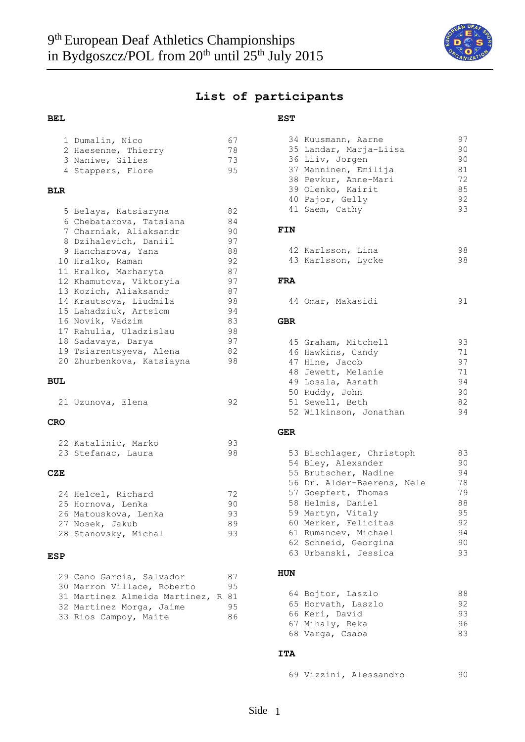

### **List of participants**

**EST**

36 Liiv, Jorgen

40 Pajor, Gelly

#### **BEL**

|            | 1 Dumalin, Nico<br>2 Haesenne, Thierry<br>3 Naniwe, Gilies<br>4 Stappers, Flore                                                                                                                                                                                                                                                                                                                         | 67<br>78<br>73<br>95                                                                         |
|------------|---------------------------------------------------------------------------------------------------------------------------------------------------------------------------------------------------------------------------------------------------------------------------------------------------------------------------------------------------------------------------------------------------------|----------------------------------------------------------------------------------------------|
| <b>BLR</b> |                                                                                                                                                                                                                                                                                                                                                                                                         |                                                                                              |
|            | 5 Belaya, Katsiaryna<br>6 Chebatarova, Tatsiana<br>7 Charniak, Aliaksandr<br>8 Dzihalevich, Daniil<br>9 Hancharova, Yana<br>10 Hralko, Raman<br>11 Hralko, Marharyta<br>12 Khamutova, Viktoryia<br>13 Kozich, Aliaksandr<br>14 Krautsova, Liudmila<br>15 Lahadziuk, Artsiom<br>16 Novik, Vadzim<br>17 Rahulia, Uladzislau<br>18 Sadavaya, Darya<br>19 Tsiarentsyeva, Alena<br>20 Zhurbenkova, Katsiayna | 82<br>84<br>90<br>97<br>88<br>92<br>87<br>97<br>87<br>98<br>94<br>83<br>98<br>97<br>82<br>98 |
| <b>BUL</b> |                                                                                                                                                                                                                                                                                                                                                                                                         |                                                                                              |
|            | 21 Uzunova, Elena                                                                                                                                                                                                                                                                                                                                                                                       | 92                                                                                           |
| <b>CRO</b> |                                                                                                                                                                                                                                                                                                                                                                                                         |                                                                                              |
|            | 22 Katalinic, Marko<br>23 Stefanac, Laura                                                                                                                                                                                                                                                                                                                                                               | 93<br>98                                                                                     |
| CZE        |                                                                                                                                                                                                                                                                                                                                                                                                         |                                                                                              |
|            | 24 Helcel, Richard<br>25 Hornova, Lenka<br>26 Matouskova, Lenka<br>27 Nosek, Jakub<br>28 Stanovsky, Michal                                                                                                                                                                                                                                                                                              | 72<br>90<br>93<br>89<br>93                                                                   |
| <b>ESP</b> |                                                                                                                                                                                                                                                                                                                                                                                                         |                                                                                              |
|            | 29 Cano Garcia, Salvador<br>30 Marron Villace, Roberto                                                                                                                                                                                                                                                                                                                                                  | 87<br>95                                                                                     |

31 Martinez Almeida Martinez, R 81 32 Martinez Morga, Jaime 95 33 Rios Campoy, Maite 86

|            | 41 Saem, Cathy                                                                                                                                                                                                                                                        | 93                                                             |
|------------|-----------------------------------------------------------------------------------------------------------------------------------------------------------------------------------------------------------------------------------------------------------------------|----------------------------------------------------------------|
| FIN        |                                                                                                                                                                                                                                                                       |                                                                |
|            | 42 Karlsson, Lina<br>43 Karlsson, Lycke                                                                                                                                                                                                                               | 98<br>98                                                       |
| <b>FRA</b> |                                                                                                                                                                                                                                                                       |                                                                |
|            | 44 Omar, Makasidi                                                                                                                                                                                                                                                     | 91                                                             |
| <b>GBR</b> |                                                                                                                                                                                                                                                                       |                                                                |
|            | 45 Graham, Mitchell<br>46 Hawkins, Candy<br>47 Hine, Jacob<br>48 Jewett, Melanie<br>49 Losala, Asnath<br>50 Ruddy, John<br>51 Sewell, Beth<br>52 Wilkinson, Jonathan                                                                                                  | 93<br>71<br>97<br>71<br>94<br>90<br>82<br>94                   |
| <b>GER</b> |                                                                                                                                                                                                                                                                       |                                                                |
|            | 53 Bischlager, Christoph<br>54 Bley, Alexander<br>55 Brutscher, Nadine<br>56 Dr. Alder-Baerens, Nele<br>57 Goepfert, Thomas<br>58 Helmis, Daniel<br>59 Martyn, Vitaly<br>60 Merker, Felicitas<br>61 Rumancev, Michael<br>62 Schneid, Georgina<br>63 Urbanski, Jessica | 83<br>90<br>94<br>78<br>79<br>88<br>95<br>92<br>94<br>90<br>93 |
| <b>HUN</b> |                                                                                                                                                                                                                                                                       |                                                                |
|            |                                                                                                                                                                                                                                                                       |                                                                |

34 Kuusmann, Aarne 197<br>35 Landar, Maria-Liisa 190 35 Landar, Marja-Liisa (90)<br>36 Liiv, Jorgen (90)

37 Manninen, Emilija 181<br>38 Pevkur, Anne-Mari 172 38 Pevkur, Anne-Mari 12<br>39 Olenko, Kairit 12 85 39 Olenko, Kairit 1985<br>40 Pajor. Gelly 192

| 64 Bojtor, Laszlo  | 88. |
|--------------------|-----|
| 65 Horvath, Laszlo | 92. |
| 66 Keri, David     | 93. |
| 67 Mihaly, Reka    | 96  |
| 68 Varga, Csaba    | R R |

#### **ITA**

69 Vizzini, Alessandro 90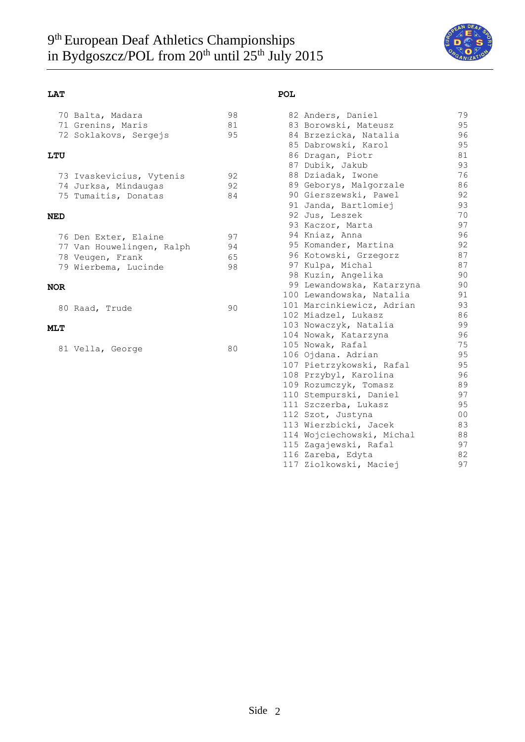

### **LAT**

| 70 Balta, Madara      | 98 |
|-----------------------|----|
| 71 Grenins, Maris     | 81 |
| 72 Soklakovs, Sergejs | 95 |

#### **LTU**

| 73 Ivaskevicius, Vytenis | 92 |
|--------------------------|----|
| 74 Jurksa, Mindaugas     | 92 |
| 75 Tumaitis, Donatas     | 84 |

#### **NED**

|  | 76 Den Exter, Elaine      | 97 |
|--|---------------------------|----|
|  | 77 Van Houwelingen, Ralph | 94 |
|  | 78 Veugen, Frank          | 65 |
|  | 79 Wierbema, Lucinde      | 98 |
|  |                           |    |

#### **NOR**

|  |  | 80 Raad, Trude |  | 90 |
|--|--|----------------|--|----|
|--|--|----------------|--|----|

### **MLT**

|  | 81 Vella, George | 80 |
|--|------------------|----|
|--|------------------|----|

#### **POL**

|     | 82 Anders, Daniel         | 79 |
|-----|---------------------------|----|
|     | 83 Borowski, Mateusz      | 95 |
|     | 84 Brzezicka, Natalia     | 96 |
|     | 85 Dabrowski, Karol       | 95 |
|     | 86 Dragan, Piotr          | 81 |
|     | 87 Dubik, Jakub           | 93 |
|     | 88 Dziadak, Iwone         | 76 |
|     | 89 Geborys, Malgorzale    | 86 |
|     | 90 Gierszewski, Pawel     | 92 |
|     | 91 Janda, Bartlomiej      | 93 |
|     | 92 Jus, Leszek            | 70 |
|     | 93 Kaczor, Marta          | 97 |
|     | 94 Kniaz, Anna            | 96 |
|     | 95 Komander, Martina      | 92 |
|     | 96 Kotowski, Grzegorz     | 87 |
|     | 97 Kulpa, Michal          | 87 |
|     | 98 Kuzin, Angelika        | 90 |
|     | 99 Lewandowska, Katarzyna | 90 |
|     | 100 Lewandowska, Natalia  | 91 |
|     | 101 Marcinkiewicz, Adrian | 93 |
|     | 102 Miadzel, Lukasz       | 86 |
|     | 103 Nowaczyk, Natalia     | 99 |
|     | 104 Nowak, Katarzyna      | 96 |
|     | 105 Nowak, Rafal          | 75 |
|     | 106 Ojdana. Adrian        | 95 |
|     | 107 Pietrzykowski, Rafal  | 95 |
|     | 108 Przybyl, Karolina     | 96 |
| 109 | Rozumczyk, Tomasz         | 89 |
|     | 110 Stempurski, Daniel    | 97 |
|     | 111 Szczerba, Lukasz      | 95 |
|     | 112 Szot, Justyna         | 00 |
|     | 113 Wierzbicki, Jacek     | 83 |
|     | 114 Wojciechowski, Michal | 88 |
|     | 115 Zagajewski, Rafal     | 97 |
|     | 116 Zareba, Edyta         | 82 |
| 117 | Ziolkowski, Maciej        | 97 |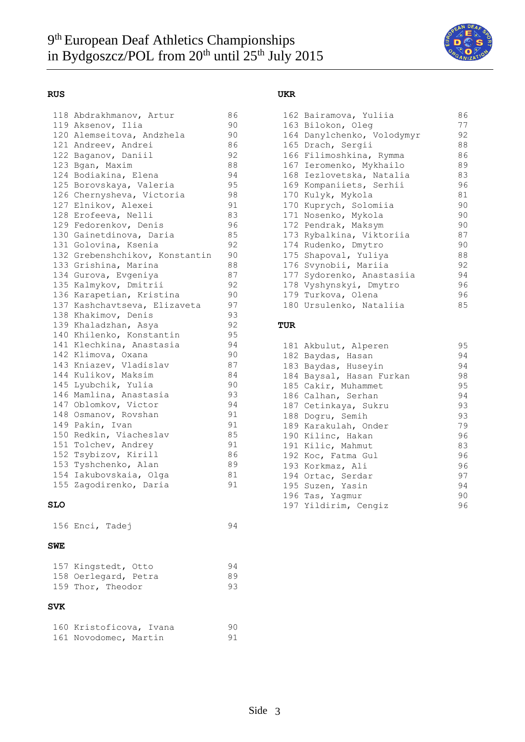

#### **RUS**

| 118 | Abdrakhmanov, Artur        | 86 |
|-----|----------------------------|----|
|     | 119 Aksenov, Ilia          | 90 |
|     | 120 Alemseitova, Andzhela  | 90 |
|     | 121 Andreev, Andrei        | 86 |
|     | 122 Baganov, Daniil        | 92 |
| 123 | Bgan, Maxim                | 88 |
| 124 | Bodiakina, Elena           | 94 |
| 125 | Borovskaya, Valeria        | 95 |
|     | 126 Chernysheva, Victoria  | 98 |
| 127 | Elnikov, Alexei            | 91 |
| 128 | Erofeeva, Nelli            | 83 |
|     | 129 Fedorenkov, Denis      | 96 |
|     | 130 Gainetdinova, Daria    | 85 |
| 131 | Golovina, Ksenia           | 92 |
| 132 | Grebenshchikov, Konstantin | 90 |
| 133 | Grishina, Marina           | 88 |
| 134 | Gurova, Evgeniya           | 87 |
| 135 | Kalmykov, Dmitrii          | 92 |
| 136 | Karapetian, Kristina       | 90 |
| 137 | Kashchavtseva, Elizaveta   | 97 |
| 138 | Khakimov, Denis            | 93 |
|     | 139 Khaladzhan, Asya       | 92 |
| 140 | Khilenko, Konstantin       | 95 |
| 141 | Klechkina, Anastasia       | 94 |
|     | 142 Klimova, Oxana         | 90 |
| 143 | Kniazev, Vladislav         | 87 |
| 144 | Kulikov, Maksim            | 84 |
| 145 | Lyubchik, Yulia            | 90 |
| 146 | Mamlina, Anastasia         | 93 |
|     | 147 Oblomkov, Victor       | 94 |
| 148 | Osmanov, Rovshan           | 91 |
| 149 | Pakin, Ivan                | 91 |
| 150 | Redkin, Viacheslav         | 85 |
|     | 151 Tolchev, Andrey        | 91 |
|     | 152 Tsybizov, Kirill       | 86 |
|     | 153 Tyshchenko, Alan       | 89 |
|     | 154 Iakubovskaia, Olga     | 81 |
|     | 155 Zagodirenko, Daria     | 91 |
|     |                            |    |

#### **SLO**

156 Enci, Tadej 94

#### **SWE**

| 157 Kingstedt, Otto  | -94 |
|----------------------|-----|
| 158 Oerlegard, Petra | 89  |
| 159 Thor, Theodor    | 93  |

#### **SVK**

| 160 Kristoficova, Ivana | 90. |
|-------------------------|-----|
| 161 Novodomec, Martin   | 91  |

#### **UKR**

|  | 162 Bairamova, Yuliia      | 86 |
|--|----------------------------|----|
|  | 163 Bilokon, Oleg          | 77 |
|  | 164 Danylchenko, Volodymyr | 92 |
|  | 165 Drach, Sergii          | 88 |
|  | 166 Filimoshkina, Rymma    | 86 |
|  | 167 Ieromenko, Mykhailo    | 89 |
|  | 168 Iezlovetska, Natalia   | 83 |
|  | 169 Kompaniiets, Serhii    | 96 |
|  | 170 Kulyk, Mykola          | 81 |
|  | 170 Kuprych, Solomiia      | 90 |
|  | 171 Nosenko, Mykola        | 90 |
|  | 172 Pendrak, Maksym        | 90 |
|  | 173 Rybalkina, Viktoriia   | 87 |
|  | 174 Rudenko, Dmytro        | 90 |
|  | 175 Shapoval, Yuliya       | 88 |
|  | 176 Svynobii, Mariia       | 92 |
|  | 177 Sydorenko, Anastasiia  | 94 |
|  | 178 Vyshynskyi, Dmytro     | 96 |
|  | 179 Turkova, Olena         | 96 |
|  | 180 Ursulenko, Nataliia    | 85 |

#### **TUR**

| 181 Akbulut, Alperen     | 95 |
|--------------------------|----|
| 182 Baydas, Hasan        | 94 |
| 183 Baydas, Huseyin      | 94 |
| 184 Baysal, Hasan Furkan | 98 |
| 185 Cakir, Muhammet      | 95 |
| 186 Calhan, Serhan       | 94 |
| 187 Cetinkaya, Sukru     | 93 |
| 188 Dogru, Semih         | 93 |
| 189 Karakulah, Onder     | 79 |
| 190 Kilinc, Hakan        | 96 |
| 191 Kilic, Mahmut        | 83 |
| 192 Koc, Fatma Gul       | 96 |
| 193 Korkmaz, Ali         | 96 |
| 194 Ortac, Serdar        | 97 |
| 195 Suzen, Yasin         | 94 |
| 196 Tas, Yagmur          | 90 |
| 197 Yildirim, Cengiz     | 96 |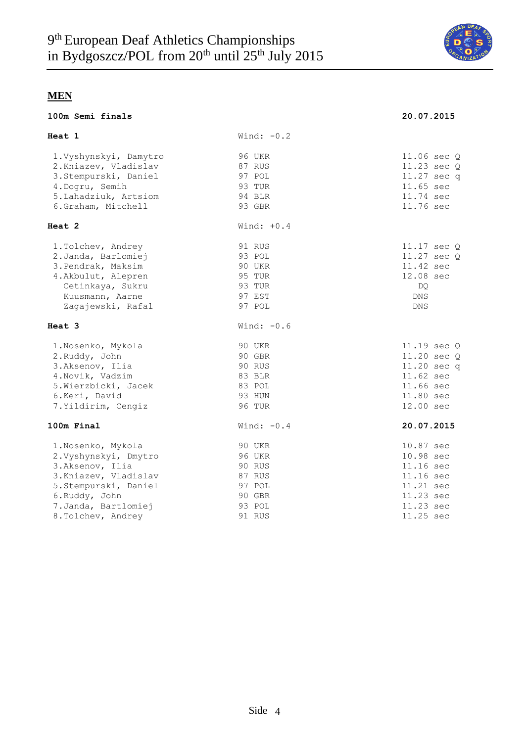

**100m Semi finals 20.07.2015**

# **MEN**

|  | 100m Semi finals |
|--|------------------|
|  |                  |

| <b>Heat</b> 1                           | Wind: $-0.2$     |                        |
|-----------------------------------------|------------------|------------------------|
| 1. Vyshynskyi, Damytro                  | 96 UKR           | 11.06 sec Q            |
| 2. Kniazev, Vladislav                   | 87 RUS           | 11.23 sec $Q$          |
| 3. Stempurski, Daniel                   | 97 POL           | 11.27 sec q            |
| 4.Dogru, Semih<br>5. Lahadziuk, Artsiom | 93 TUR<br>94 BLR | 11.65 sec<br>11.74 sec |
| 6.Graham, Mitchell                      | 93 GBR           | 11.76 sec              |
|                                         |                  |                        |
| Heat 2                                  | Wind: $+0.4$     |                        |
| 1. Tolchev, Andrey                      | 91 RUS           | 11.17 sec Q            |
| 2. Janda, Barlomiej                     | 93 POL           | $11.27 \text{ sec } Q$ |
| 3. Pendrak, Maksim                      | 90 UKR           | 11.42 sec              |
| 4. Akbulut, Alepren                     | 95 TUR           | 12.08 sec              |
| Cetinkaya, Sukru                        | 93 TUR           | DQ.                    |
| Kuusmann, Aarne                         | 97 EST           | <b>DNS</b>             |
| Zagajewski, Rafal                       | 97 POL           | <b>DNS</b>             |
| Heat 3                                  | Wind: $-0.6$     |                        |
| 1. Nosenko, Mykola                      | 90 UKR           | 11.19 sec Q            |
| 2.Ruddy, John                           | 90 GBR           | 11.20 sec Q            |
| 3.Aksenov, Ilia                         | 90 RUS           | 11.20 sec q            |
| 4. Novik, Vadzim                        | 83 BLR           | 11.62 sec              |
| 5. Wierzbicki, Jacek                    | 83 POL           | 11.66 sec              |
| 6.Keri, David                           | 93 HUN           | 11.80 sec              |
| 7. Yildirim, Cengiz                     | <b>96 TUR</b>    | 12.00 sec              |
| 100m Final                              | Wind: $-0.4$     | 20.07.2015             |
| 1. Nosenko, Mykola                      | 90 UKR           | 10.87 sec              |
| 2. Vyshynskyi, Dmytro                   | <b>96 UKR</b>    | 10.98 sec              |
| 3.Aksenov, Ilia                         | 90 RUS           | 11.16 sec              |
| 3. Kniazev, Vladislav                   | 87 RUS           | 11.16 sec              |
| 5. Stempurski, Daniel                   | 97 POL           | 11.21 sec              |
| 6.Ruddy, John                           | 90 GBR           | 11.23 sec              |
| 7.Janda, Bartlomiej                     | 93 POL           | 11.23 sec              |
| 8. Tolchev, Andrey                      | 91 RUS           | 11.25 sec              |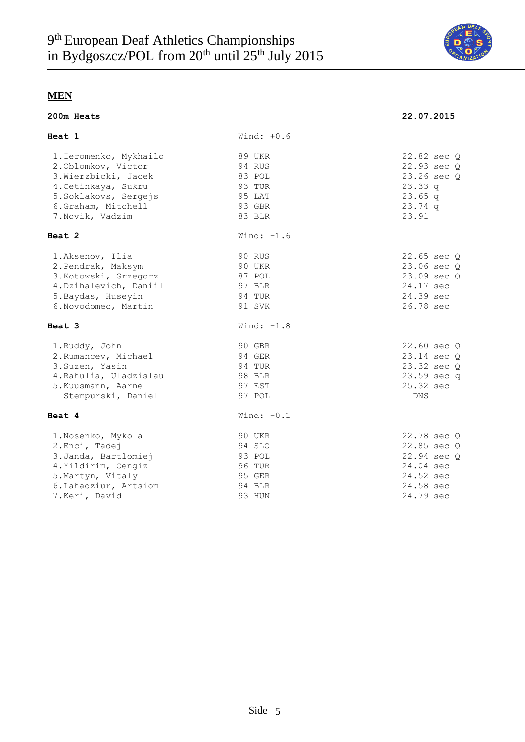

|  |  | 200m Heats |
|--|--|------------|
|--|--|------------|

| 200m Heats                                                                                                                                                     |                                                                    | 22.07.2015                                                                                    |  |  |  |  |
|----------------------------------------------------------------------------------------------------------------------------------------------------------------|--------------------------------------------------------------------|-----------------------------------------------------------------------------------------------|--|--|--|--|
| <b>Heat 1</b>                                                                                                                                                  | Wind: $+0.6$                                                       |                                                                                               |  |  |  |  |
| 1. Ieromenko, Mykhailo<br>2.0blomkov, Victor<br>3. Wierzbicki, Jacek<br>4. Cetinkaya, Sukru<br>5. Soklakovs, Sergejs<br>6.Graham, Mitchell<br>7. Novik, Vadzim | 89 UKR<br>94 RUS<br>83 POL<br>93 TUR<br>95 LAT<br>93 GBR<br>83 BLR | 22.82 sec Q<br>22.93 sec Q<br>23.26 sec Q<br>23.33q<br>$23.65$ q<br>$23.74$ q<br>23.91        |  |  |  |  |
| <b>Heat 2</b>                                                                                                                                                  | Wind: $-1.6$                                                       |                                                                                               |  |  |  |  |
| 1.Aksenov, Ilia<br>2. Pendrak, Maksym<br>3. Kotowski, Grzegorz<br>4. Dzihalevich, Daniil<br>5. Baydas, Huseyin<br>6. Novodomec, Martin                         | 90 RUS<br>90 UKR<br>87 POL<br>97 BLR<br>94 TUR<br>91 SVK           | 22.65 sec Q<br>23.06 sec Q<br>23.09 sec Q<br>24.17 sec<br>24.39 sec<br>26.78 sec              |  |  |  |  |
| <b>Heat 3</b>                                                                                                                                                  | Wind: $-1.8$                                                       |                                                                                               |  |  |  |  |
| 1.Ruddy, John<br>2. Rumancev, Michael<br>3. Suzen, Yasin<br>4. Rahulia, Uladzislau<br>5. Kuusmann, Aarne<br>Stempurski, Daniel                                 | 90 GBR<br>94 GER<br>94 TUR<br>98 BLR<br>97 EST<br>97 POL           | 22.60 sec Q<br>23.14 sec Q<br>23.32 sec Q<br>23.59 sec q<br>25.32 sec<br><b>DNS</b>           |  |  |  |  |
| <b>Heat 4</b>                                                                                                                                                  | Wind: $-0.1$                                                       |                                                                                               |  |  |  |  |
| 1. Nosenko, Mykola<br>2. Enci, Tadej<br>3. Janda, Bartlomiej<br>4. Yildirim, Cengiz<br>5. Martyn, Vitaly<br>6. Lahadziur, Artsiom<br>7.Keri, David             | 90 UKR<br>94 SLO<br>93 POL<br>96 TUR<br>95 GER<br>94 BLR<br>93 HUN | 22.78 sec Q<br>22.85 sec Q<br>22.94 sec Q<br>24.04 sec<br>24.52 sec<br>24.58 sec<br>24.79 sec |  |  |  |  |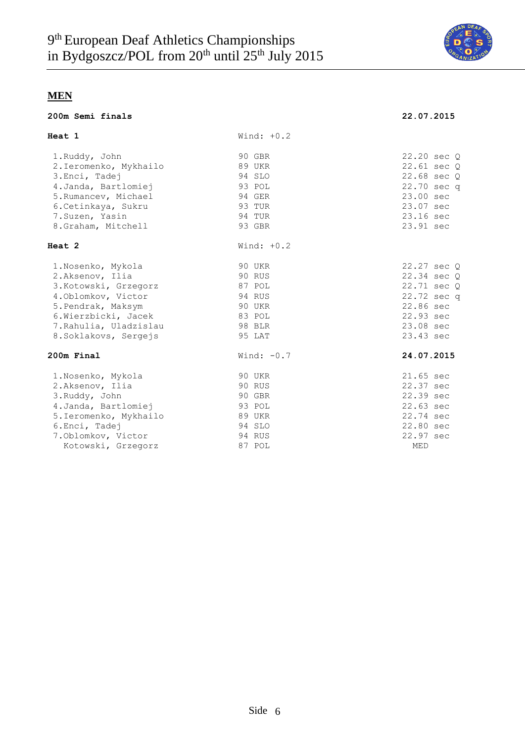

#### **200m Semi finals 22.07.2015**

| 22.07.2015 |  |  |  |  |
|------------|--|--|--|--|

| Heat 1                 | Wind: $+0.2$ |                 |
|------------------------|--------------|-----------------|
| 1.Ruddy, John          | 90 GBR       | 22.20 sec Q     |
| 2. Ieromenko, Mykhailo | 89 UKR       | $22.61$ sec $Q$ |
| 3. Enci, Tadej         | 94 SLO       | 22.68 sec Q     |
| 4. Janda, Bartlomiej   | 93 POL       | 22.70 sec q     |
| 5. Rumancev, Michael   | 94 GER       | 23.00 sec       |
| 6. Cetinkaya, Sukru    | 93 TUR       | 23.07 sec       |
| 7.Suzen, Yasin         | 94 TUR       | 23.16 sec       |
| 8.Graham, Mitchell     | 93 GBR       | 23.91 sec       |
| Heat 2                 | Wind: $+0.2$ |                 |
| 1. Nosenko, Mykola     | 90 UKR       | 22.27 sec Q     |
| 2.Aksenov, Ilia        | 90 RUS       | 22.34 sec Q     |
| 3. Kotowski, Grzegorz  | 87 POL       | 22.71 sec Q     |
| 4. Oblomkov, Victor    | 94 RUS       | 22.72 sec q     |
| 5. Pendrak, Maksym     | 90 UKR       | 22.86 sec       |
| 6. Wierzbicki, Jacek   | 83 POL       | 22.93 sec       |
| 7. Rahulia, Uladzislau | 98 BLR       | 23.08 sec       |
| 8. Soklakovs, Sergejs  | 95 LAT       | 23.43 sec       |
| 200m Final             | Wind: $-0.7$ | 24.07.2015      |
| 1. Nosenko, Mykola     | 90 UKR       | 21.65 sec       |
| 2.Aksenov, Ilia        | 90 RUS       | 22.37 sec       |
| 3. Ruddy, John         | 90 GBR       | 22.39 sec       |
| 4. Janda, Bartlomiej   | 93 POL       | 22.63 sec       |
| 5. Ieromenko, Mykhailo | 89 UKR       | 22.74 sec       |
| 6. Enci, Tadej         | 94 SLO       | 22.80 sec       |
| 7. Oblomkov, Victor    | 94 RUS       | 22.97 sec       |
| Kotowski, Grzegorz     | 87 POL       | MED             |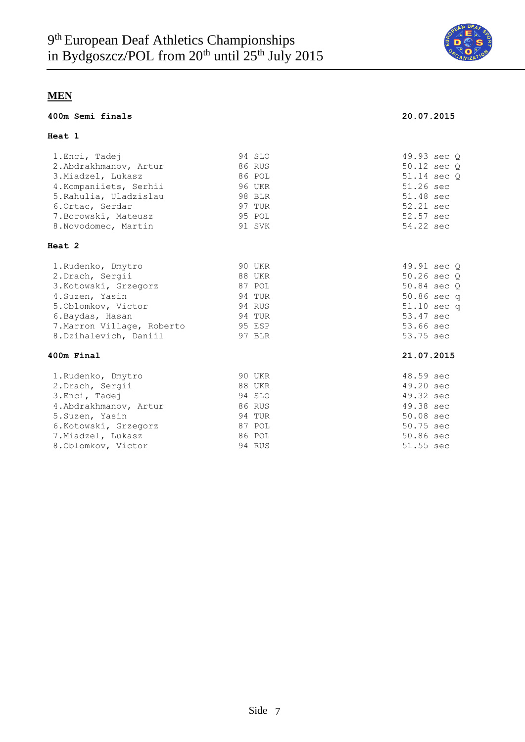

#### **400m Semi finals 20.07.2015**

### **Heat 1**

| 1.Enci, Tadej              | 94 SLO | 49.93 sec Q |
|----------------------------|--------|-------------|
| 2.Abdrakhmanov, Artur      | 86 RUS | 50.12 sec O |
| 3. Miadzel, Lukasz         | 86 POL | 51.14 sec Q |
| 4. Kompaniiets, Serhii     | 96 UKR | 51.26 sec   |
| 5. Rahulia, Uladzislau     | 98 BLR | 51.48 sec   |
| 6. Ortac, Serdar           | 97 TUR | 52.21 sec   |
| 7. Borowski, Mateusz       | 95 POL | 52.57 sec   |
| 8. Novodomec, Martin       | 91 SVK | 54.22 sec   |
| <b>Heat 2</b>              |        |             |
| 1. Rudenko, Dmytro         | 90 UKR | 49.91 sec Q |
| 2. Drach, Sergii           | 88 UKR | 50.26 sec Q |
| 3. Kotowski, Grzegorz      | 87 POL | 50.84 sec Q |
| 4. Suzen, Yasin            | 94 TUR | 50.86 sec q |
| 5.0blomkov, Victor         | 94 RUS | 51.10 sec q |
| 6. Baydas, Hasan           | 94 TUR | 53.47 sec   |
| 7. Marron Village, Roberto | 95 ESP | 53.66 sec   |
| 8. Dzihalevich, Daniil     | 97 BLR | 53.75 sec   |
| 400m Final                 |        | 21.07.2015  |
| 1.Rudenko, Dmytro          | 90 UKR | 48.59 sec   |
| 2. Drach, Sergii           | 88 UKR | 49.20 sec   |
| 3. Enci, Tadej             | 94 SLO | 49.32 sec   |
| 4. Abdrakhmanov, Artur     | 86 RUS | 49.38 sec   |
| 5. Suzen, Yasin            | 94 TUR | 50.08 sec   |
| 6.Kotowski, Grzegorz       | 87 POL | 50.75 sec   |
| 7. Miadzel, Lukasz         | 86 POL | 50.86 sec   |
| 8. Oblomkov, Victor        | 94 RUS | 51.55 sec   |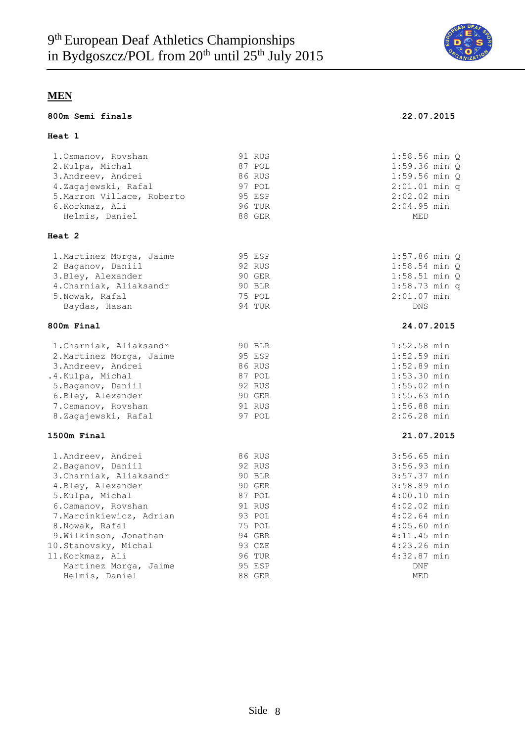

#### **800m Semi finals 22.07.2015**

#### **Heat 1**

| 1. Osmanov, Rovshan        | 91 RUS        | $1:58.56$ min $Q$           |
|----------------------------|---------------|-----------------------------|
| 2. Kulpa, Michal           | 87 POL        | $1:59.36$ min $Q$           |
| 3. Andreev, Andrei         | 86 RUS        | $1:59.56$ min $Q$           |
| 4.Zagajewski, Rafal        | 97 POL        | $2:01.01$ min q             |
| 5. Marron Villace, Roberto | 95 ESP        | $2:02.02$ min               |
| 6.Korkmaz, Ali             | <b>96 TUR</b> | $2:04.95$ min               |
| Helmis, Daniel             | 88 GER        | $\ensuremath{\mathsf{MED}}$ |
| <b>Heat 2</b>              |               |                             |
| 1. Martinez Morga, Jaime   | 95 ESP        | $1:57.86$ min $Q$           |
| 2 Baganov, Daniil          | 92 RUS        | $1:58.54$ min $Q$           |
| 3. Bley, Alexander         | 90 GER        | $1:58.51$ min $Q$           |
| 4. Charniak, Aliaksandr    | 90 BLR        | $1:58.73$ min q             |
| 5. Nowak, Rafal            | 75 POL        | $2:01.07$ min               |
| Baydas, Hasan              | 94 TUR        | <b>DNS</b>                  |
| 800m Final                 |               | 24.07.2015                  |
| 1. Charniak, Aliaksandr    | 90 BLR        | $1:52.58$ min               |
| 2. Martinez Morga, Jaime   | 95 ESP        | $1:52.59$ min               |
| 3. Andreev, Andrei         | 86 RUS        | $1:52.89$ min               |
| .4. Kulpa, Michal          | 87 POL        | $1:53.30$ min               |
| 5. Baganov, Daniil         | 92 RUS        | $1:55.02$ min               |
| 6.Bley, Alexander          | 90 GER        | $1:55.63$ min               |
| 7.0smanov, Rovshan         | 91 RUS        | $1:56.88$ min               |
| 8.Zagajewski, Rafal        | 97 POL        | $2:06.28$ min               |
| 1500m Final                |               | 21.07.2015                  |
| 1. Andreev, Andrei         | 86 RUS        | $3:56.65$ min               |
| 2. Baganov, Daniil         | 92 RUS        | 3:56.93 min                 |
| 3. Charniak, Aliaksandr    | 90 BLR        | 3:57.37 min                 |
| 4. Bley, Alexander         | 90 GER        | 3:58.89 min                 |
| 5.Kulpa, Michal            | 87 POL        | $4:00.10$ min               |
| 6.0smanov, Rovshan         | 91 RUS        | $4:02.02$ min               |
| 7. Marcinkiewicz, Adrian   | 93 POL        | $4:02.64$ min               |
| 8. Nowak, Rafal            | 75 POL        | $4:05.60$ min               |
| 9. Wilkinson, Jonathan     | 94 GBR        | $4:11.45$ min               |
| 10.Stanovsky, Michal       | 93 CZE        | $4:23.26$ min               |
| 11. Korkmaz, Ali           | <b>96 TUR</b> | $4:32.87$ min               |
| Martinez Morga, Jaime      | 95 ESP        | <b>DNF</b>                  |
| Helmis, Daniel             | 88 GER        | MED                         |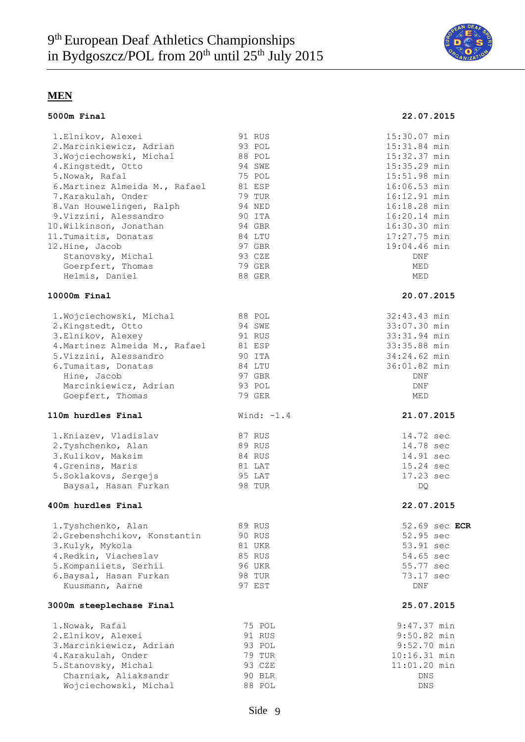

#### **5000m Final 22.07.2015**

| 1.Elnikov, Alexei                     | 91 RUS       | 15:30.07 min  |
|---------------------------------------|--------------|---------------|
| 2. Marcinkiewicz, Adrian              | 93 POL       | 15:31.84 min  |
| 3. Wojciechowski, Michal              | 88 POL       | 15:32.37 min  |
| 4. Kingstedt, Otto                    | 94 SWE       | 15:35.29 min  |
| 5. Nowak, Rafal                       | 75 POL       | 15:51.98 min  |
| 6. Martinez Almeida M., Rafael        | 81 ESP       | 16:06.53 min  |
| 7.Karakulah, Onder                    | 79 TUR       | 16:12.91 min  |
| 8.Van Houwelingen, Ralph              | 94 NED       | 16:18.28 min  |
| 9. Vizzini, Alessandro                | 90 ITA       | 16:20.14 min  |
| 10. Wilkinson, Jonathan               | 94 GBR       | 16:30.30 min  |
| 11. Tumaitis, Donatas                 | 84 LTU       | 17:27.75 min  |
| 12.Hine, Jacob                        | 97 GBR       | 19:04.46 min  |
| Stanovsky, Michal                     | 93 CZE       | DNF           |
| Goerpfert, Thomas                     | 79 GER       | MED           |
| Helmis, Daniel                        | 88 GER       | MED           |
| 10000m Final                          |              | 20.07.2015    |
| 1. Wojciechowski, Michal              | 88 POL       | 32:43.43 min  |
| 2. Kingstedt, Otto                    | 94 SWE       | 33:07.30 min  |
| 3.Elnikov, Alexey                     | 91 RUS       | 33:31.94 min  |
| 4. Martinez Almeida M., Rafael 81 ESP |              | 33:35.88 min  |
| 5.Vizzini, Alessandro                 | 90 ITA       | 34:24.62 min  |
| 6. Tumaitas, Donatas                  | 84 LTU       | 36:01.82 min  |
| Hine, Jacob                           | 97 GBR       | DNF           |
| Marcinkiewicz, Adrian                 | 93 POL       | DNF           |
| Goepfert, Thomas                      | 79 GER       | MED           |
| 110m hurdles Final                    | Wind: $-1.4$ | 21.07.2015    |
| 1. Kniazev, Vladislav                 | 87 RUS       | 14.72 sec     |
| 2.Tyshchenko, Alan                    | 89 RUS       | 14.78 sec     |
| 3. Kulikov, Maksim                    | 84 RUS       | 14.91 sec     |
| 4. Grenins, Maris                     | 81 LAT       | 15.24 sec     |
| 5. Soklakovs, Sergejs                 | 95 LAT       | 17.23 sec     |
| Baysal, Hasan Furkan                  | 98 TUR       | DQ            |
| 400m hurdles Final                    |              | 22.07.2015    |
| 1.Tyshchenko, Alan                    | 89 RUS       | 52.69 sec ECR |
| 2.Grebenshchikov, Konstantin          | 90 RUS       | 52.95 sec     |
| 3.Kulyk, Mykola                       | 81 UKR       | 53.91 sec     |
| 4. Redkin, Viacheslav                 | 85 RUS       | 54.65 sec     |
| 5. Kompaniiets, Serhii                | 96 UKR       | 55.77 sec     |
| 6. Baysal, Hasan Furkan               | 98 TUR       | 73.17 sec     |
| Kuusmann, Aarne                       | 97 EST       | DNF           |
| 3000m steeplechase Final              |              | 25.07.2015    |
| 1. Nowak, Rafal                       | 75 POL       | $9:47.37$ min |
| 2.Elnikov, Alexei                     | 91 RUS       | $9:50.82$ min |
| 3. Marcinkiewicz, Adrian              | 93 POL       | $9:52.70$ min |
| 4.Karakulah, Onder                    | 79 TUR       | 10:16.31 min  |
| 5.Stanovsky, Michal                   | 93 CZE       | 11:01.20 min  |
| Charniak, Aliaksandr                  | 90 BLR       | DNS           |
| Wojciechowski, Michal                 | 88 POL       | DNS           |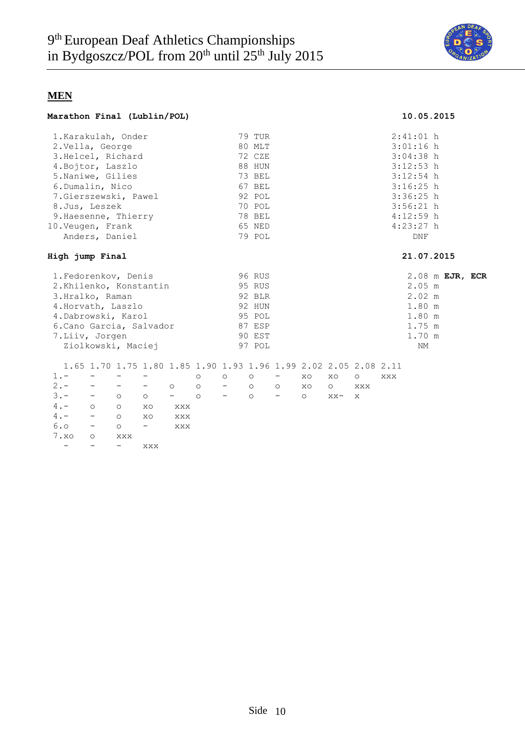

#### **Marathon Final (Lublin/POL) 10.05.2015**

| 1. Karakulah, Onder             |                   |                          |                                                                  |                                     |                  |                          | 79 TUR          |                  |         |         |                           |     | $2:41:01$ h |  |  |  |
|---------------------------------|-------------------|--------------------------|------------------------------------------------------------------|-------------------------------------|------------------|--------------------------|-----------------|------------------|---------|---------|---------------------------|-----|-------------|--|--|--|
| 2. Vella, George                |                   |                          |                                                                  |                                     |                  |                          | 80 MLT          |                  |         |         |                           |     | $3:01:16$ h |  |  |  |
| 3. Helcel, Richard              |                   |                          |                                                                  |                                     |                  |                          | 72 CZE          |                  |         |         |                           |     | $3:04:38$ h |  |  |  |
| 4. Bojtor, Laszlo               |                   |                          |                                                                  |                                     |                  |                          | 88 HUN          |                  |         |         |                           |     | $3:12:53$ h |  |  |  |
| 5. Naniwe, Gilies               |                   |                          |                                                                  |                                     |                  |                          | 73 BEL          |                  |         |         |                           |     | $3:12:54$ h |  |  |  |
| 6.Dumalin, Nico                 |                   |                          |                                                                  |                                     |                  |                          | 67 BEL          |                  |         |         |                           |     | $3:16:25$ h |  |  |  |
| 7.Gierszewski, Pawel            |                   |                          |                                                                  |                                     |                  |                          | 92 POL          |                  |         |         |                           |     | $3:36:25$ h |  |  |  |
| 8.Jus, Leszek                   |                   |                          |                                                                  |                                     |                  |                          | 70 POL          |                  |         |         |                           |     | $3:56:21$ h |  |  |  |
| 9. Haesenne, Thierry            |                   |                          |                                                                  |                                     |                  |                          | 78 BEL          |                  |         |         |                           |     | $4:12:59$ h |  |  |  |
| 10.Veugen, Frank                |                   |                          |                                                                  |                                     |                  |                          | 65 NED          |                  |         |         |                           |     | $4:23:27$ h |  |  |  |
|                                 |                   | Anders, Daniel           |                                                                  |                                     |                  |                          | 79 POL          |                  |         |         |                           |     | DNF         |  |  |  |
|                                 |                   |                          |                                                                  |                                     |                  |                          |                 |                  |         |         |                           |     |             |  |  |  |
| High jump Final                 |                   |                          |                                                                  |                                     |                  |                          |                 |                  |         |         |                           |     | 21.07.2015  |  |  |  |
| 1. Fedorenkov, Denis            |                   |                          |                                                                  |                                     |                  |                          | 96 RUS          |                  |         |         |                           |     |             |  |  |  |
| 2.Khilenko, Konstantin          |                   |                          |                                                                  |                                     | 95 RUS           |                          |                 |                  |         |         | 2.08 m EJR, ECR<br>2.05 m |     |             |  |  |  |
| 3.Hralko, Raman                 |                   |                          |                                                                  |                                     | 92 BLR           |                          |                 |                  |         |         |                           |     | 2.02 m      |  |  |  |
| 4. Horvath, Laszlo              |                   |                          |                                                                  |                                     | 92 HUN<br>1.80 m |                          |                 |                  |         |         |                           |     |             |  |  |  |
| 4. Dabrowski, Karol             |                   |                          |                                                                  |                                     | 95 POL<br>1.80 m |                          |                 |                  |         |         |                           |     |             |  |  |  |
| 6. Cano Garcia, Salvador        |                   |                          |                                                                  |                                     | 87 ESP           |                          |                 |                  |         |         |                           |     | $1.75$ m    |  |  |  |
|                                 |                   |                          |                                                                  |                                     |                  |                          | 90 EST          |                  |         |         |                           |     | 1.70 m      |  |  |  |
| 7.Liiv, Jorgen                  |                   |                          |                                                                  |                                     |                  |                          | 97 POL          |                  |         |         |                           |     | NM          |  |  |  |
|                                 |                   | Ziolkowski, Maciej       |                                                                  |                                     |                  |                          |                 |                  |         |         |                           |     |             |  |  |  |
|                                 |                   |                          | 1.65 1.70 1.75 1.80 1.85 1.90 1.93 1.96 1.99 2.02 2.05 2.08 2.11 |                                     |                  |                          |                 |                  |         |         |                           |     |             |  |  |  |
| $1 -$                           | $\qquad \qquad -$ | $\overline{\phantom{m}}$ | $\qquad \qquad -$                                                |                                     | $\circ$          | $\circ$                  | $\circ$ $\circ$ | $\sim$ 100 $\mu$ | XO      | XO      | $\circ$                   | XXX |             |  |  |  |
| $2 -$                           | $\qquad \qquad -$ |                          | $\sim$ 100 $\mu$ m $^{-1}$                                       | $\overline{\phantom{0}}$<br>$\circ$ |                  | $-$ 0                    |                 | $\circ$          | XO      | $\circ$ | XXX                       |     |             |  |  |  |
| $3 -$                           | $ \,$             | $\circ$                  | $\circ$                                                          | $-$ 0                               |                  | $\overline{\phantom{m}}$ | $\circ$         | $-$              | $\circ$ | $XX -$  | $\mathbf{x}$              |     |             |  |  |  |
| $4 -$                           | $\circ$           | $\circ$                  | XO                                                               | XXX                                 |                  |                          |                 |                  |         |         |                           |     |             |  |  |  |
| $4 -$                           | $\sim$ $-$        | $\circ$                  | XO                                                               | XXX                                 |                  |                          |                 |                  |         |         |                           |     |             |  |  |  |
| 6.0<br>$\sim 1000$ km s $^{-1}$ |                   | $\circ$                  | $-$                                                              | XXX                                 |                  |                          |                 |                  |         |         |                           |     |             |  |  |  |
| 7.80                            | $\circ$           | XXX                      |                                                                  |                                     |                  |                          |                 |                  |         |         |                           |     |             |  |  |  |
| $\overline{\phantom{0}}$        |                   | $\qquad \qquad -$        | XXX                                                              |                                     |                  |                          |                 |                  |         |         |                           |     |             |  |  |  |
|                                 |                   |                          |                                                                  |                                     |                  |                          |                 |                  |         |         |                           |     |             |  |  |  |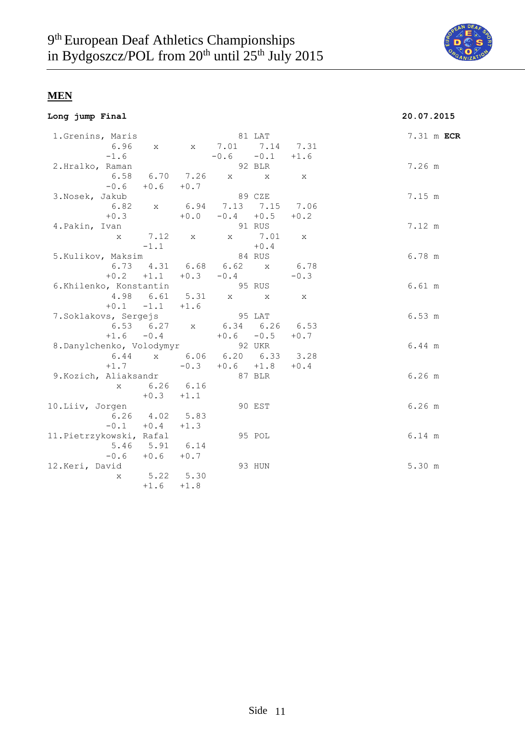

|  |  | Long jump Final |
|--|--|-----------------|
|--|--|-----------------|

# **Long jump Final 20.07.2015**

| 1.Grenins, Maris                 |                      |        |                             | 81 LAT   |              | 7.31 m ECR |  |
|----------------------------------|----------------------|--------|-----------------------------|----------|--------------|------------|--|
|                                  |                      |        | 6.96 x x 7.01 7.14 7.31     |          |              |            |  |
| $-1.6$                           |                      |        | $-0.6 -0.1 +1.6$            |          |              |            |  |
| 2.Hralko, Raman                  |                      |        | 92 BLR                      |          |              | 7.26 m     |  |
|                                  |                      |        | 6.58 6.70 7.26 x x          |          | $\mathbf{X}$ |            |  |
|                                  | $-0.6 + 0.6 + 0.7$   |        |                             |          |              |            |  |
| 3.Nosek, Jakub                   |                      |        | 89 CZE                      |          |              | 7.15 m     |  |
|                                  |                      |        | 6.82 x 6.94 7.13 7.15 7.06  |          |              |            |  |
|                                  | $+0.3$               |        | $+0.0 -0.4 +0.5$            |          | $+0.2$       |            |  |
| 4.Pakin, Ivan                    |                      |        | 91 RUS                      |          |              | 7.12 m     |  |
|                                  | x 7.12 x             |        |                             | x 7.01 x |              |            |  |
|                                  | $-1.1$               |        |                             | $+0.4$   |              |            |  |
| 5.Kulikov, Maksim                |                      |        | 84 RUS                      |          |              | 6.78 m     |  |
|                                  |                      |        | 6.73 $4.31$ 6.68 6.62 x     |          | 6.78         |            |  |
|                                  |                      |        | $+0.2$ $+1.1$ $+0.3$ $-0.4$ |          | $-0.3$       |            |  |
| 6.Khilenko, Konstantin           |                      |        | 95 RUS                      |          |              | 6.61 m     |  |
|                                  | 4.98 6.61 5.31       |        | $X$ and $X$                 |          | $\mathbf{x}$ |            |  |
|                                  | $+0.1 -1.1 +1.6$     |        |                             |          |              |            |  |
| 7.Soklakovs, Sergejs             |                      |        | 95 LAT                      |          |              | 6.53 m     |  |
|                                  |                      |        | 6.53 6.27 x 6.34 6.26 6.53  |          |              |            |  |
|                                  |                      |        | $+1.6$ $-0.4$ $+0.6$ $-0.5$ |          | $+0.7$       |            |  |
| 8. Danylchenko, Volodymyr 92 UKR |                      |        |                             |          |              | 6.44 m     |  |
|                                  |                      |        | 6.44 x 6.06 6.20 6.33 3.28  |          |              |            |  |
| $+1.7$                           |                      |        | $-0.3$ $+0.6$ $+1.8$ $+0.4$ |          |              |            |  |
| 9. Kozich, Aliaksandr            |                      |        | 87 BLR                      |          |              | $6.26$ m   |  |
|                                  | x 6.26 6.16          |        |                             |          |              |            |  |
|                                  | $+0.3 +1.1$          |        |                             |          |              |            |  |
| 10.Liiv, Jorgen                  |                      |        |                             | 90 EST   |              | $6.26$ m   |  |
|                                  | $6.26$ $4.02$ $5.83$ |        |                             |          |              |            |  |
|                                  | $-0.1 + 0.4$         | $+1.3$ |                             |          |              |            |  |
| 11. Pietrzykowski, Rafal         |                      |        |                             | 95 POL   |              | 6.14 m     |  |
|                                  | 5.46 5.91 6.14       |        |                             |          |              |            |  |
|                                  | $-0.6$ $+0.6$ $+0.7$ |        |                             |          |              |            |  |
| 12.Keri, David                   |                      |        |                             | 93 HUN   |              | 5.30 m     |  |
| X                                | $5.22$ $5.30$        |        |                             |          |              |            |  |
|                                  | $+1.6$               | $+1.8$ |                             |          |              |            |  |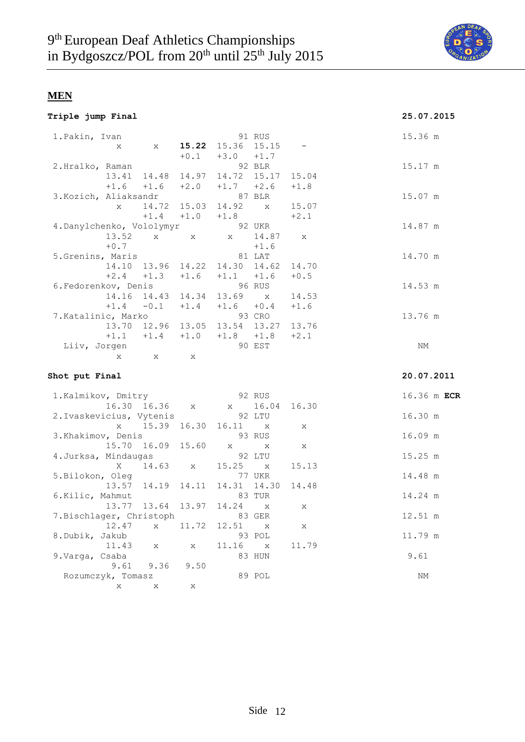

| Triple jump Final |  |  |
|-------------------|--|--|
|-------------------|--|--|

### **Triple jump Final 25.07.2015**

| 1. Pakin, Ivan            | X                 | $\mathbf{X}$  |              | 15.22 15.36 15.15                   | 91 RUS                 |              | 15.36 m    |             |
|---------------------------|-------------------|---------------|--------------|-------------------------------------|------------------------|--------------|------------|-------------|
|                           |                   |               |              | $+0.1 +3.0 +1.7$                    |                        |              |            |             |
| 2.Hralko, Raman           |                   |               |              |                                     | 92 BLR                 |              | 15.17 m    |             |
|                           | $+1.6$            | 13.41 14.48   |              | 14.97 14.72 15.17<br>$+1.7 +2.6$    |                        | 15.04        |            |             |
|                           |                   | $+1.6$        | $+2.0$       | 87 BLR                              |                        | $+1.8$       |            |             |
| 3.Kozich, Aliaksandr      | $\mathbf{x}$      | 14.72         | 15.03        | 14.92                               | $\mathbf{x}$           | 15.07        | 15.07 m    |             |
|                           |                   | $+1.4$        | $+1.0$       | $+1.8$                              |                        | $+2.1$       |            |             |
| 4. Danylchenko, Vololymyr |                   |               |              |                                     | 92 UKR                 |              | 14.87 m    |             |
|                           | 13.52             | $X -$         | $\mathbf{x}$ | $\mathbf x$                         | 14.87                  | $\mathbf{x}$ |            |             |
|                           | $+0.7$            |               |              |                                     | $+1.6$                 |              |            |             |
| 5.Grenins, Maris          |                   |               |              |                                     | 81 LAT                 |              | 14.70 m    |             |
|                           |                   | 14.10 13.96   | 14.22        | 14.30 14.62                         |                        | 14.70        |            |             |
|                           | $+2.4$            | $+1.3$        | $+1.6$       | $+1.1 +1.6$                         |                        | $+0.5$       |            |             |
| 6. Fedorenkov, Denis      |                   |               |              |                                     | <b>96 RUS</b>          |              | 14.53 m    |             |
|                           |                   | 14.16 14.43   |              | 14.34 13.69 x                       |                        | 14.53        |            |             |
|                           |                   | $+1.4 -0.1$   |              | $+1.4$ $+1.6$ $+0.4$                |                        | $+1.6$       |            |             |
| 7. Katalinic, Marko       |                   |               |              |                                     | 93 CRO                 |              | 13.76 m    |             |
|                           |                   |               |              | 13.70 12.96 13.05 13.54 13.27 13.76 |                        |              |            |             |
|                           |                   |               |              | $+1.1$ $+1.4$ $+1.0$ $+1.8$ $+1.8$  |                        | $+2.1$       |            |             |
|                           | Liiv, Jorgen      |               |              |                                     | 90 EST                 |              | ΝM         |             |
|                           | X                 | $\mathbf{X}$  | X            |                                     |                        |              |            |             |
|                           |                   |               |              |                                     |                        |              |            |             |
|                           |                   |               |              |                                     |                        |              |            |             |
| Shot put Final            |                   |               |              |                                     |                        |              | 20.07.2011 |             |
|                           |                   |               |              |                                     |                        |              |            |             |
| 1. Kalmikov, Dmitry       |                   |               |              |                                     | 92 RUS                 |              |            | 16.36 m ECR |
|                           |                   | 16.30 16.36 x |              |                                     | x 16.04                | 16.30        |            |             |
| 2. Ivaskevicius, Vytenis  | $X -$             | 15.39         |              | 16.11                               | 92 LTU<br>$\mathbf{x}$ | X            | 16.30 m    |             |
|                           |                   |               | 16.30        |                                     |                        |              |            |             |
| 3. Khakimov, Denis        |                   |               | 15.60        | $\mathbf X$                         | 93 RUS<br>X            | X            | 16.09 m    |             |
| 4. Jurksa, Mindaugas      |                   | 15.70 16.09   |              |                                     | 92 LTU                 |              | 15.25 m    |             |
|                           | X                 | 14.63         | $\mathbf{X}$ | 15.25 x                             |                        | 15.13        |            |             |
| 5.Bilokon, Oleg           |                   |               |              |                                     | 77 UKR                 |              | 14.48 m    |             |
|                           |                   | 13.57 14.19   | 14.11        | 14.31 14.30                         |                        | 14.48        |            |             |
| 6.Kilic, Mahmut           |                   |               |              |                                     | 83 TUR                 |              | 14.24 m    |             |
|                           |                   | 13.77 13.64   | 13.97        | 14.24 x                             |                        | X            |            |             |
| 7. Bischlager, Christoph  |                   |               |              |                                     | 83 GER                 |              | 12.51 m    |             |
|                           | 12.47             | $X \sim$      | 11.72        | 12.51                               | $\mathbf x$            | X            |            |             |
| 8.Dubik, Jakub            |                   |               |              |                                     | 93 POL                 |              | 11.79 m    |             |
|                           | 11.43             | $\mathbf{X}$  | $\mathbf{X}$ | $11.16 \t x$                        |                        | 11.79        |            |             |
| 9.Varga, Csaba            |                   |               |              |                                     | 83 HUN                 |              | 9.61       |             |
|                           | 9.61              | 9.36          | 9.50         |                                     |                        |              |            |             |
|                           | Rozumczyk, Tomasz |               |              |                                     | 89 POL                 |              | NΜ         |             |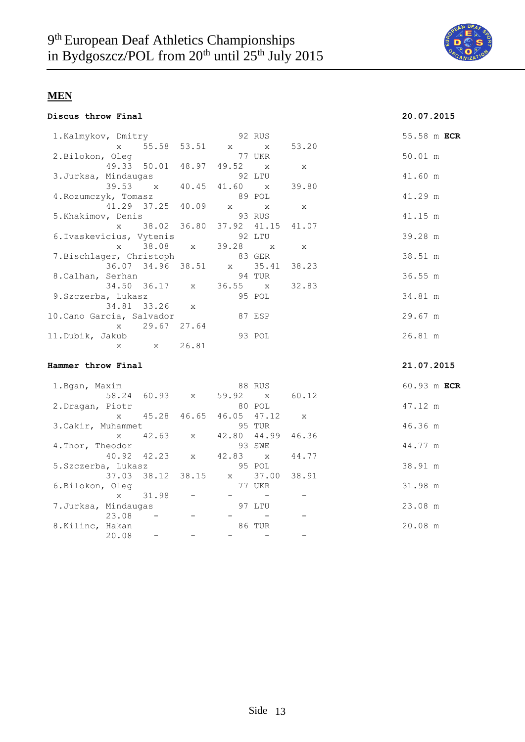

| Discus throw Final |  |  |  |
|--------------------|--|--|--|
|--------------------|--|--|--|

# **Discus throw Final 20.07.2015**

| 1.Kalmykov, Dmitry                                       |                                 | 92 RUS |        |  |         | 55.58 m ECR |
|----------------------------------------------------------|---------------------------------|--------|--------|--|---------|-------------|
|                                                          | x 55.58 53.51 x x 53.20         |        |        |  |         |             |
| 2.Bilokon, Oleg 77 UKR                                   |                                 |        |        |  | 50.01 m |             |
|                                                          | 49.33 50.01 48.97 49.52 x x     |        |        |  |         |             |
| 3.Jurksa, Mindaugas 62 92 LTU                            |                                 |        |        |  | 41.60 m |             |
|                                                          | 39.53 x 40.45 41.60 x 39.80     |        |        |  |         |             |
| 4. Rozumczyk, Tomasz 89 POL                              |                                 |        |        |  | 41.29 m |             |
|                                                          | 41.29 37.25 40.09 x x x         |        |        |  |         |             |
| 5.Khakimov, Denis                                 93 RUS |                                 |        |        |  | 41.15 m |             |
|                                                          | x 38.02 36.80 37.92 41.15 41.07 |        |        |  |         |             |
| 6.Ivaskevicius, Vytenis 92 LTU                           |                                 |        |        |  | 39.28 m |             |
|                                                          | x 38.08 x 39.28 x x             |        |        |  |         |             |
| 7.Bischlager, Christoph 83 GER                           |                                 |        |        |  | 38.51 m |             |
|                                                          | 36.07 34.96 38.51 x 35.41 38.23 |        |        |  |         |             |
| 8.Calhan, Serhan                                         |                                 | 94 TUR |        |  | 36.55 m |             |
|                                                          | 34.50 36.17 x 36.55 x 32.83     |        |        |  |         |             |
| 9.Szczerba, Lukasz                                       |                                 |        | 95 POL |  | 34.81 m |             |
|                                                          | 34.81 33.26 x                   |        |        |  |         |             |
| 10.Cano Garcia, Salvador                                 |                                 | 87 ESP |        |  | 29.67 m |             |
|                                                          | x 29.67 27.64                   |        |        |  |         |             |
| 11.Dubik, Jakub                                          |                                 |        | 93 POL |  | 26.81 m |             |
|                                                          | x x 26.81                       |        |        |  |         |             |

#### **Hammer throw Final 21.07.2015**

| 1.Bgan, Maxim        |              |                   |       |                             | 88 RUS  |              | 60.93 m ECR |  |
|----------------------|--------------|-------------------|-------|-----------------------------|---------|--------------|-------------|--|
|                      |              |                   |       | 58.24 60.93 x 59.92 x 60.12 |         |              |             |  |
| 2. Dragan, Piotr     |              |                   |       |                             | 80 POL  |              | 47.12 m     |  |
|                      | $\mathbf x$  | 45.28             | 46.65 | 46.05 47.12                 |         | $\mathbf{x}$ |             |  |
| 3. Cakir, Muhammet   |              |                   |       |                             | 95 TUR  |              | 46.36 m     |  |
|                      | $\mathbf x$  |                   |       | 42.63 x 42.80 44.99         |         | 46.36        |             |  |
| 4. Thor, Theodor     |              |                   |       |                             | 93 SWE  |              | 44.77 m     |  |
|                      |              |                   |       | 40.92 42.23 x 42.83 x 44.77 |         |              |             |  |
| 5.Szczerba, Lukasz   |              |                   |       |                             | 95 POL  |              | 38.91 m     |  |
|                      |              | 37.03 38.12 38.15 |       |                             | x 37.00 | 38.91        |             |  |
| 6.Bilokon, Oleg      |              |                   |       |                             | 77 UKR  |              | 31.98 m     |  |
|                      | $\mathbf{x}$ | 31.98             |       |                             |         |              |             |  |
| 7. Jurksa, Mindaugas |              |                   |       |                             | 97 LTU  |              | 23.08 m     |  |
|                      | 23.08        |                   |       |                             |         |              |             |  |
| 8.Kilinc, Hakan      |              |                   |       |                             | 86 TUR  |              | 20.08 m     |  |
|                      | 20.08        |                   |       |                             |         |              |             |  |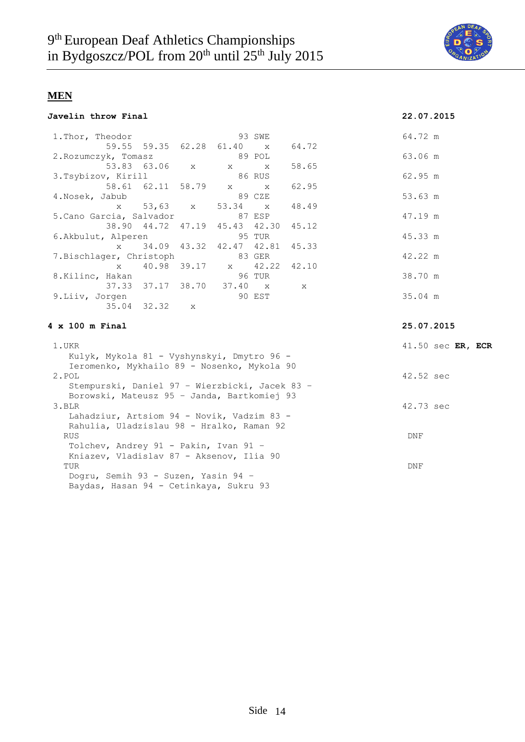

| Javelin throw Final |  |
|---------------------|--|
|                     |  |

### **Javelin throw Final 22.07.2015**

|                        | 1. Thor, Theodor                               |                                          |             |                             | 93 SWE       |             | 64.72 m           |
|------------------------|------------------------------------------------|------------------------------------------|-------------|-----------------------------|--------------|-------------|-------------------|
|                        |                                                |                                          |             | 59.55 59.35 62.28 61.40 x   |              | 64.72       |                   |
|                        | 2. Rozumczyk, Tomasz                           |                                          |             |                             | 89 POL       |             | 63.06 m           |
|                        |                                                | 53.83 63.06                              | $X -$       | $X = 1$                     | $\mathbf{x}$ | 58.65       |                   |
|                        | 3.Tsybizov, Kirill                             |                                          |             |                             | 86 RUS       |             | 62.95 m           |
|                        |                                                | 58.61 62.11 58.79                        |             | $\mathbf x$ and $\mathbf x$ | $\mathbf{x}$ | 62.95       |                   |
| 4. Nosek, Jabub        |                                                |                                          |             |                             | 89 CZE       |             | 53.63 m           |
|                        | $\mathbf{x}$                                   | 53,63                                    | X           | 53.34                       | $\mathbf{x}$ | 48.49       |                   |
|                        | 5. Cano Garcia, Salvador                       |                                          |             |                             | 87 ESP       |             | 47.19 m           |
|                        |                                                | 38.90 44.72 47.19                        |             | 45.43 42.30                 |              | 45.12       |                   |
|                        | 6.Akbulut, Alperen                             |                                          |             |                             | 95 TUR       |             | 45.33 m           |
|                        | $\mathbf{x}$                                   | 34.09                                    | 43.32       | 42.47 42.81                 |              | 45.33       |                   |
|                        | 7.Bischlager, Christoph                        |                                          |             |                             | 83 GER       |             | 42.22 m           |
|                        | $\mathbf{x}$                                   |                                          | 40.98 39.17 | X                           | 42.22        | 42.10       |                   |
|                        | 8.Kilinc, Hakan                                |                                          |             |                             | 96 TUR       |             | 38.70 m           |
|                        |                                                | 37.33 37.17 38.70                        |             | 37.40 x                     |              | $\mathbf x$ |                   |
|                        | 9.Liiv, Jorgen                                 |                                          |             |                             | 90 EST       |             | 35.04 m           |
|                        |                                                | 35.04 32.32                              | X           |                             |              |             |                   |
|                        |                                                |                                          |             |                             |              |             |                   |
| $4 \times 100$ m Final |                                                |                                          |             |                             |              |             | 25.07.2015        |
| 1.UKR                  |                                                |                                          |             |                             |              |             | 41.50 sec ER, ECR |
|                        | Kulyk, Mykola 81 - Vyshynskyi, Dmytro 96 -     |                                          |             |                             |              |             |                   |
|                        | Ieromenko, Mykhailo 89 - Nosenko, Mykola 90    |                                          |             |                             |              |             |                   |
| 2.POL                  |                                                |                                          |             |                             |              |             | 42.52 sec         |
|                        | Stempurski, Daniel 97 - Wierzbicki, Jacek 83 - |                                          |             |                             |              |             |                   |
|                        | Borowski, Mateusz 95 - Janda, Bartkomiej 93    |                                          |             |                             |              |             |                   |
| 3.BLR                  |                                                |                                          |             |                             |              |             | 42.73 sec         |
|                        | Lahadziur, Artsiom 94 - Novik, Vadzim 83 -     |                                          |             |                             |              |             |                   |
|                        | Rahulia, Uladzislau 98 - Hralko, Raman 92      |                                          |             |                             |              |             |                   |
| <b>RUS</b>             |                                                |                                          |             |                             |              |             | DNF               |
|                        | Tolchev, Andrey 91 - Pakin, Ivan 91 -          |                                          |             |                             |              |             |                   |
|                        |                                                | Kniazev, Vladislav 87 - Aksenov, Ilia 90 |             |                             |              |             |                   |
|                        |                                                |                                          |             |                             |              |             |                   |
| TUR                    |                                                |                                          |             |                             |              |             | DNF               |
|                        | Dogru, Semih 93 - Suzen, Yasin 94 -            |                                          |             |                             |              |             |                   |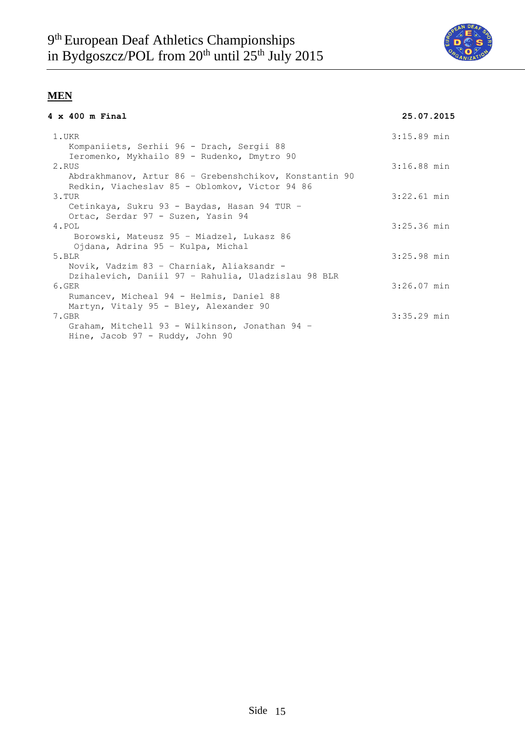

### **4 x 400 m Final 25.07.2015**

| 25.07.2015 |  |  |  |  |
|------------|--|--|--|--|
|            |  |  |  |  |

| 1.UKR<br>Kompaniiets, Serhii 96 - Drach, Sergii 88                                                       | $3:15.89$ min |
|----------------------------------------------------------------------------------------------------------|---------------|
| Ieromenko, Mykhailo 89 - Rudenko, Dmytro 90<br>2.RUS                                                     | $3:16.88$ min |
| Abdrakhmanov, Artur 86 - Grebenshchikov, Konstantin 90<br>Redkin, Viacheslav 85 - Oblomkov, Victor 94 86 |               |
| 3.TUR                                                                                                    | $3:22.61$ min |
| Cetinkaya, Sukru 93 - Baydas, Hasan 94 TUR -                                                             |               |
| Ortac, Serdar 97 - Suzen, Yasin 94<br>4.POL                                                              | $3:25.36$ min |
| Borowski, Mateusz 95 - Miadzel, Lukasz 86                                                                |               |
| Ojdana, Adrina 95 - Kulpa, Michal                                                                        |               |
| $5.$ BLR                                                                                                 | $3:25.98$ min |
| Novik, Vadzim 83 - Charniak, Aliaksandr -                                                                |               |
| Dzihalevich, Daniil 97 - Rahulia, Uladzislau 98 BLR<br>6.GER                                             | $3:26.07$ min |
| Rumancev, Micheal 94 - Helmis, Daniel 88                                                                 |               |
| Martyn, Vitaly 95 - Bley, Alexander 90                                                                   |               |
| 7.GBR                                                                                                    | $3:35.29$ min |
| Graham, Mitchell 93 - Wilkinson, Jonathan 94 -<br>Hine, Jacob 97 - Ruddy, John 90                        |               |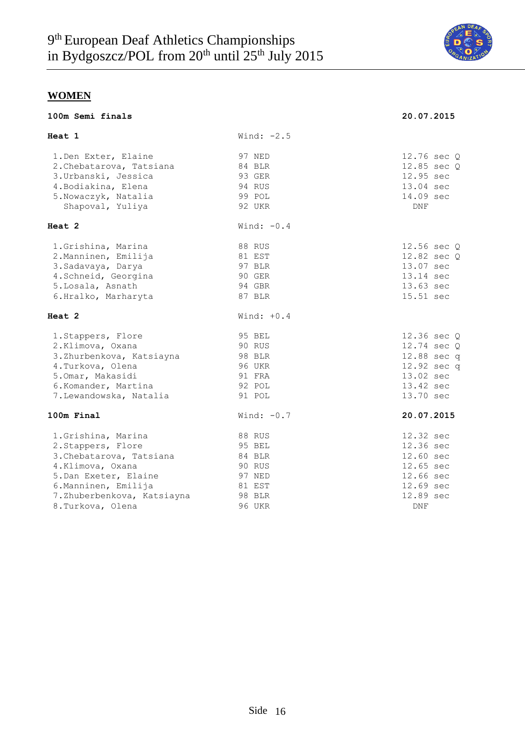

| 100m Semi finals                                                                                                                                                                             |                                                                                     | 20.07.2015                                                                                            |
|----------------------------------------------------------------------------------------------------------------------------------------------------------------------------------------------|-------------------------------------------------------------------------------------|-------------------------------------------------------------------------------------------------------|
| Heat 1                                                                                                                                                                                       | Wind: $-2.5$                                                                        |                                                                                                       |
| 1. Den Exter, Elaine<br>2. Chebatarova, Tatsiana<br>3. Urbanski, Jessica<br>4. Bodiakina, Elena<br>5. Nowaczyk, Natalia<br>Shapoval, Yuliya                                                  | 97 NED<br>84 BLR<br>93 GER<br>94 RUS<br>99 POL<br>92 UKR                            | 12.76 sec Q<br>12.85 sec Q<br>12.95 sec<br>13.04 sec<br>14.09 sec<br><b>DNF</b>                       |
| Heat 2                                                                                                                                                                                       | Wind: $-0.4$                                                                        |                                                                                                       |
| 1. Grishina, Marina<br>2. Manninen, Emilija<br>3. Sadavaya, Darya<br>4. Schneid, Georgina<br>5. Losala, Asnath<br>6.Hralko, Marharyta                                                        | 88 RUS<br>81 EST<br>97 BLR<br>90 GER<br>94 GBR<br>87 BLR                            | 12.56 sec Q<br>12.82 sec Q<br>13.07 sec<br>13.14 sec<br>13.63 sec<br>15.51 sec                        |
| Heat 2                                                                                                                                                                                       | Wind: $+0.4$                                                                        |                                                                                                       |
| 1. Stappers, Flore<br>2.Klimova, Oxana<br>3.Zhurbenkova, Katsiayna<br>4. Turkova, Olena<br>5.0mar, Makasidi<br>6.Komander, Martina<br>7. Lewandowska, Natalia                                | 95 BEL<br>90 RUS<br>98 BLR<br><b>96 UKR</b><br>91 FRA<br>92 POL<br>91 POL           | 12.36 sec Q<br>12.74 sec Q<br>12.88 sec q<br>12.92 sec q<br>13.02 sec<br>13.42 sec<br>13.70 sec       |
| 100m Final                                                                                                                                                                                   | Wind: $-0.7$                                                                        | 20.07.2015                                                                                            |
| 1. Grishina, Marina<br>2. Stappers, Flore<br>3. Chebatarova, Tatsiana<br>4.Klimova, Oxana<br>5.Dan Exeter, Elaine<br>6. Manninen, Emilija<br>7.Zhuberbenkova, Katsiayna<br>8. Turkova, Olena | 88 RUS<br>95 BEL<br>84 BLR<br>90 RUS<br>97 NED<br>81 EST<br>98 BLR<br><b>96 UKR</b> | 12.32 sec<br>12.36 sec<br>12.60 sec<br>12.65 sec<br>12.66 sec<br>12.69 sec<br>12.89 sec<br><b>DNF</b> |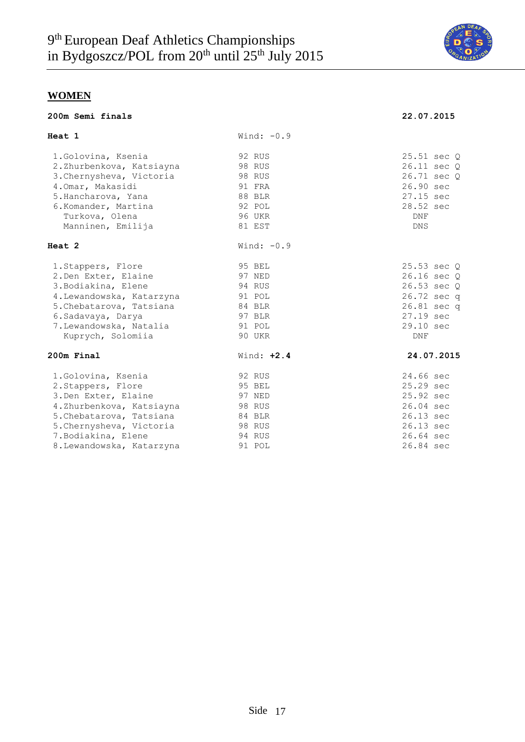

**200m Semi finals 22.07.2015**

|  |  |  | 200m Semi finals |
|--|--|--|------------------|
|--|--|--|------------------|

| Heat 1                    | Wind: $-0.9$  |             |
|---------------------------|---------------|-------------|
| 1. Golovina, Ksenia       | 92 RUS        | 25.51 sec 0 |
| 2.Zhurbenkova, Katsiayna  | <b>98 RUS</b> | 26.11 sec Q |
| 3. Chernysheva, Victoria  | 98 RUS        | 26.71 sec 0 |
| 4.0mar, Makasidi          | 91 FRA        | 26.90 sec   |
| 5. Hancharova, Yana       | 88 BLR        | 27.15 sec   |
| 6.Komander, Martina       | 92 POL        | 28.52 sec   |
| Turkova, Olena            | 96 UKR        | <b>DNF</b>  |
| Manninen, Emilija         | 81 EST        | <b>DNS</b>  |
| Heat 2                    | Wind: $-0.9$  |             |
| 1. Stappers, Flore        | 95 BEL        | 25.53 sec 0 |
| 2. Den Exter, Elaine      | 97 NED        | 26.16 sec Q |
| 3. Bodiakina, Elene       | 94 RUS        | 26.53 sec Q |
| 4. Lewandowska, Katarzyna | 91 POL        | 26.72 sec q |
| 5. Chebatarova, Tatsiana  | 84 BLR        | 26.81 sec q |
| 6. Sadavaya, Darya        | 97 BLR        | 27.19 sec   |
| 7. Lewandowska, Natalia   | 91 POL        | 29.10 sec   |
| Kuprych, Solomiia         | 90 UKR        | DNF         |
| 200m Final                | Wind: $+2.4$  | 24.07.2015  |
| 1. Golovina, Ksenia       | 92 RUS        | 24.66 sec   |
| 2. Stappers, Flore        | 95 BEL        | 25.29 sec   |
| 3. Den Exter, Elaine      | 97 NED        | 25.92 sec   |
| 4.Zhurbenkova, Katsiayna  | 98 RUS        | 26.04 sec   |
| 5. Chebatarova, Tatsiana  | 84 BLR        | 26.13 sec   |
| 5. Chernysheva, Victoria  | 98 RUS        | 26.13 sec   |
| 7. Bodiakina, Elene       | 94 RUS        | 26.64 sec   |
| 8. Lewandowska, Katarzyna | 91 POL        | 26.84 sec   |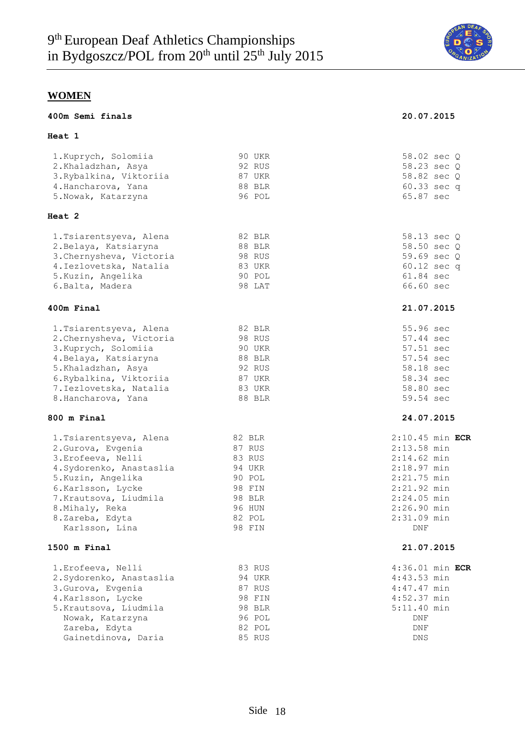

| 400m Semi finals                                                                                                                                                                                                            |                                                                                                  | 20.07.2015                                                                                                                                                            |
|-----------------------------------------------------------------------------------------------------------------------------------------------------------------------------------------------------------------------------|--------------------------------------------------------------------------------------------------|-----------------------------------------------------------------------------------------------------------------------------------------------------------------------|
| <b>Heat</b> 1                                                                                                                                                                                                               |                                                                                                  |                                                                                                                                                                       |
| 1. Kuprych, Solomiia<br>2.Khaladzhan, Asya<br>3. Rybalkina, Viktoriia<br>4. Hancharova, Yana<br>5. Nowak, Katarzyna                                                                                                         | 90 UKR<br>92 RUS<br>87 UKR<br>88 BLR<br>96 POL                                                   | 58.02 sec Q<br>58.23 sec Q<br>58.82 sec Q<br>60.33 sec q<br>65.87 sec                                                                                                 |
| Heat 2                                                                                                                                                                                                                      |                                                                                                  |                                                                                                                                                                       |
| 1. Tsiarentsyeva, Alena<br>2. Belaya, Katsiaryna<br>3. Chernysheva, Victoria<br>4. Iezlovetska, Natalia<br>5. Kuzin, Angelika<br>6. Balta, Madera                                                                           | 82 BLR<br>88 BLR<br>98 RUS<br>83 UKR<br>90 POL<br>98 LAT                                         | 58.13 sec Q<br>58.50 sec Q<br>59.69 sec Q<br>60.12 sec q<br>61.84 sec<br>66.60 sec                                                                                    |
| 400m Final                                                                                                                                                                                                                  |                                                                                                  | 21.07.2015                                                                                                                                                            |
| 1. Tsiarentsyeva, Alena<br>2. Chernysheva, Victoria<br>3. Kuprych, Solomiia<br>4. Belaya, Katsiaryna<br>5.Khaladzhan, Asya<br>6. Rybalkina, Viktoriia<br>7. Iezlovetska, Natalia<br>8. Hancharova, Yana                     | 82 BLR<br>98 RUS<br><b>90 UKR</b><br>88 BLR<br>92 RUS<br>87 UKR<br>83 UKR<br>88 BLR              | 55.96 sec<br>57.44 sec<br>57.51 sec<br>57.54 sec<br>58.18 sec<br>58.34 sec<br>58.80 sec<br>59.54 sec                                                                  |
| 800 m Final                                                                                                                                                                                                                 |                                                                                                  | 24.07.2015                                                                                                                                                            |
| 1. Tsiarentsyeva, Alena<br>2. Gurova, Evgenia<br>3. Erofeeva, Nelli<br>4. Sydorenko, Anastaslia<br>5. Kuzin, Angelika<br>6.Karlsson, Lycke<br>7. Krautsova, Liudmila<br>8.Mihaly, Reka<br>8.Zareba, Edyta<br>Karlsson, Lina | 82 BLR<br>87 RUS<br>83 RUS<br>94 UKR<br>90 POL<br>98 FIN<br>98 BLR<br>96 HUN<br>82 POL<br>98 FIN | $2:10.45$ min ECR<br>$2:13.58$ min<br>$2:14.62$ min<br>$2:18.97$ min<br>$2:21.75$ min<br>$2:21.92$ min<br>$2:24.05$ min<br>$2:26.90$ min<br>2:31.09 min<br><b>DNF</b> |
| 1500 m Final                                                                                                                                                                                                                |                                                                                                  | 21.07.2015                                                                                                                                                            |
| 1. Erofeeva, Nelli<br>2. Sydorenko, Anastaslia<br>3. Gurova, Evgenia<br>4.Karlsson, Lycke<br>5. Krautsova, Liudmila<br>Nowak, Katarzyna<br>Zareba, Edyta<br>Gainetdinova, Daria                                             | 83 RUS<br>94 UKR<br>87 RUS<br>98 FIN<br>98 BLR<br>96 POL<br>82 POL<br>85 RUS                     | 4:36.01 min ECR<br>$4:43.53$ min<br>$4:47.47$ min<br>$4:52.37$ min<br>5:11.40 min<br>DNF<br>DNF<br>DNS                                                                |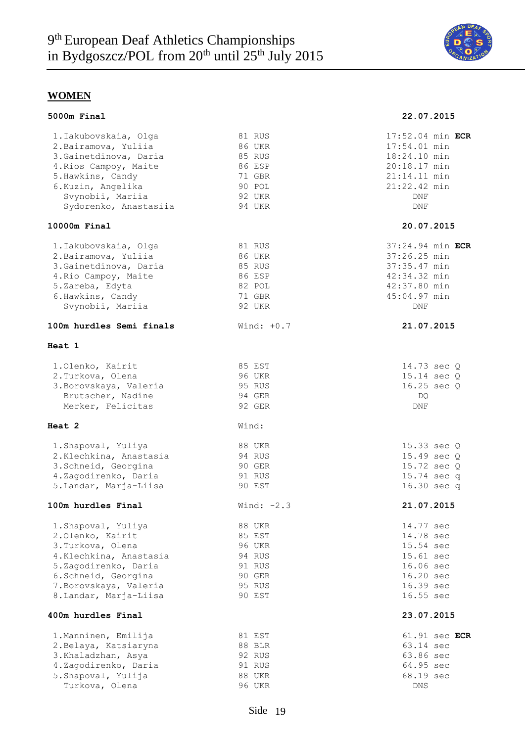

| 5000m Final                                                                                                                                                                                |                                                                                     | 22.07.2015                                                                                                     |
|--------------------------------------------------------------------------------------------------------------------------------------------------------------------------------------------|-------------------------------------------------------------------------------------|----------------------------------------------------------------------------------------------------------------|
| 1.Iakubovskaia, Olga<br>2. Bairamova, Yuliia<br>3. Gainetdinova, Daria<br>4. Rios Campoy, Maite<br>5. Hawkins, Candy<br>6.Kuzin, Angelika<br>Svynobii, Mariia<br>Sydorenko, Anastasiia     | 81 RUS<br>86 UKR<br>85 RUS<br>86 ESP<br>71 GBR<br>90 POL<br>92 UKR<br>94 UKR        | 17:52.04 min ECR<br>17:54.01 min<br>18:24.10 min<br>20:18.17 min<br>21:14.11 min<br>21:22.42 min<br>DNF<br>DNF |
| $10000m$ Final                                                                                                                                                                             |                                                                                     | 20.07.2015                                                                                                     |
| 1.Iakubovskaia, Olga<br>2. Bairamova, Yuliia<br>3. Gainetdinova, Daria<br>4. Rio Campoy, Maite<br>5.Zareba, Edyta<br>6. Hawkins, Candy<br>Svynobii, Mariia                                 | 81 RUS<br>86 UKR<br>85 RUS<br>86 ESP<br>82 POL<br>71 GBR<br>92 UKR                  | 37:24.94 min ECR<br>37:26.25 min<br>37:35.47 min<br>42:34.32 min<br>42:37.80 min<br>45:04.97 min<br>DNF        |
| 100m hurdles Semi finals                                                                                                                                                                   | Wind: $+0.7$                                                                        | 21.07.2015                                                                                                     |
| Heat 1                                                                                                                                                                                     |                                                                                     |                                                                                                                |
| 1.Olenko, Kairit<br>2. Turkova, Olena<br>3. Borovskaya, Valeria<br>Brutscher, Nadine<br>Merker, Felicitas                                                                                  | 85 EST<br><b>96 UKR</b><br>95 RUS<br>94 GER<br>92 GER                               | 14.73 sec Q<br>15.14 sec Q<br>16.25 sec Q<br>DQ<br>DNF                                                         |
| Heat 2                                                                                                                                                                                     | Wind:                                                                               |                                                                                                                |
| 1. Shapoval, Yuliya<br>2. Klechkina, Anastasia<br>3. Schneid, Georgina<br>4.Zagodirenko, Daria<br>5. Landar, Marja-Liisa                                                                   | 88 UKR<br>94 RUS<br>90 GER<br>91 RUS<br>90 EST                                      | 15.33 sec Q<br>15.49 sec Q<br>15.72 sec Q<br>15.74 sec q<br>16.30 sec q                                        |
| 100m hurdles Final                                                                                                                                                                         | Wind: $-2.3$                                                                        | 21.07.2015                                                                                                     |
| 1. Shapoval, Yuliya<br>2.Olenko, Kairit<br>3. Turkova, Olena<br>4.Klechkina, Anastasia<br>5.Zagodirenko, Daria<br>6. Schneid, Georgina<br>7. Borovskaya, Valeria<br>8. Landar, Marja-Liisa | 88 UKR<br>85 EST<br><b>96 UKR</b><br>94 RUS<br>91 RUS<br>90 GER<br>95 RUS<br>90 EST | 14.77 sec<br>14.78 sec<br>15.54 sec<br>15.61 sec<br>16.06 sec<br>16.20 sec<br>16.39 sec<br>16.55 sec           |
| 400m hurdles Final                                                                                                                                                                         |                                                                                     | 23.07.2015                                                                                                     |
| 1. Manninen, Emilija<br>2. Belaya, Katsiaryna<br>3.Khaladzhan, Asya<br>4.Zagodirenko, Daria<br>5. Shapoval, Yulija<br>Turkova, Olena                                                       | 81 EST<br>88 BLR<br>92 RUS<br>91 RUS<br><b>88 UKR</b><br>96 UKR                     | 61.91 sec ECR<br>63.14 sec<br>63.86 sec<br>64.95 sec<br>68.19 sec<br><b>DNS</b>                                |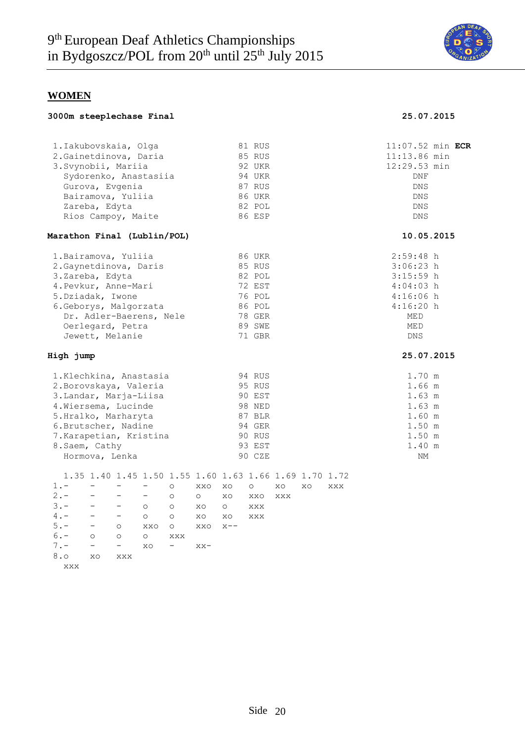

**3000m steeplechase Final 25.07.2015**

# **WOMEN**

|  |  | 3000m steeplechase Final |  |
|--|--|--------------------------|--|
|--|--|--------------------------|--|

| 1.Iakubovskaia, Olga        |                          |                                                        |                          |                          |         |         | 81 RUS        |            |    |     | $11:07.52$ min ECR |  |
|-----------------------------|--------------------------|--------------------------------------------------------|--------------------------|--------------------------|---------|---------|---------------|------------|----|-----|--------------------|--|
| 2. Gainetdinova, Daria      |                          |                                                        |                          |                          |         |         | 85 RUS        |            |    |     | 11:13.86 min       |  |
| 3. Svynobii, Mariia         |                          |                                                        |                          |                          |         |         | 92 UKR        |            |    |     | 12:29.53 min       |  |
|                             |                          | Sydorenko, Anastasiia                                  |                          |                          |         |         | 94 UKR        |            |    |     | <b>DNF</b>         |  |
|                             |                          | Gurova, Evgenia                                        |                          |                          |         |         | 87 RUS        |            |    |     | <b>DNS</b>         |  |
|                             |                          | Bairamova, Yuliia                                      |                          |                          |         |         | <b>86 UKR</b> |            |    |     | DNS                |  |
|                             | Zareba, Edyta            |                                                        |                          |                          |         |         | 82 POL        |            |    |     | <b>DNS</b>         |  |
|                             |                          | Rios Campoy, Maite                                     |                          |                          |         |         | 86 ESP        |            |    |     | DNS                |  |
| Marathon Final (Lublin/POL) |                          |                                                        |                          |                          |         |         |               |            |    |     | 10.05.2015         |  |
| 1. Bairamova, Yuliia        |                          |                                                        |                          |                          |         |         | 86 UKR        |            |    |     | $2:59:48$ h        |  |
| 2. Gaynetdinova, Daris      |                          |                                                        |                          |                          |         |         | 85 RUS        |            |    |     | $3:06:23$ h        |  |
| 3.Zareba, Edyta             |                          |                                                        |                          |                          |         |         | 82 POL        |            |    |     | $3:15:59$ h        |  |
| 4. Pevkur, Anne-Mari        |                          |                                                        |                          |                          |         |         | 72 EST        |            |    |     | $4:04:03$ h        |  |
| 5.Dziadak, Iwone            |                          |                                                        |                          |                          |         |         | 76 POL        |            |    |     | $4:16:06$ h        |  |
| 6. Geborys, Malgorzata      |                          |                                                        |                          |                          |         |         | 86 POL        |            |    |     | $4:16:20$ h        |  |
|                             |                          | Dr. Adler-Baerens, Nele                                |                          |                          |         |         | 78 GER        |            |    |     | MED                |  |
|                             |                          | Oerlegard, Petra                                       |                          |                          |         |         | 89 SWE        |            |    |     | MED                |  |
|                             |                          | Jewett, Melanie                                        |                          |                          |         |         | 71 GBR        |            |    |     | <b>DNS</b>         |  |
| High jump                   |                          |                                                        |                          |                          |         |         |               |            |    |     | 25.07.2015         |  |
| 1.Klechkina, Anastasia      |                          |                                                        |                          |                          |         |         | 94 RUS        |            |    |     | 1.70 m             |  |
| 2. Borovskaya, Valeria      |                          |                                                        |                          |                          |         |         | 95 RUS        |            |    |     | 1.66 m             |  |
| 3. Landar, Marja-Liisa      |                          |                                                        |                          |                          |         |         | 90 EST        |            |    |     | 1.63 m             |  |
| 4. Wiersema, Lucinde        |                          |                                                        |                          |                          |         |         | 98 NED        |            |    |     | 1.63 m             |  |
| 5.Hralko, Marharyta         |                          |                                                        |                          |                          |         |         | 87 BLR        |            |    |     | 1.60 m             |  |
| 6. Brutscher, Nadine        |                          |                                                        |                          |                          |         |         | 94 GER        |            |    |     | 1.50 m             |  |
| 7. Karapetian, Kristina     |                          |                                                        |                          |                          |         |         | 90 RUS        |            |    |     | 1.50 m             |  |
| 8. Saem, Cathy              |                          |                                                        |                          |                          |         |         | 93 EST        |            |    |     | 1.40 m             |  |
|                             |                          | Hormova, Lenka                                         |                          |                          |         |         | 90 CZE        |            |    |     | NΜ                 |  |
|                             |                          | 1.35 1.40 1.45 1.50 1.55 1.60 1.63 1.66 1.69 1.70 1.72 |                          |                          |         |         |               |            |    |     |                    |  |
| $1 -$                       | $\equiv$                 |                                                        |                          | $\circ$                  | XXO     | XO      | $\circ$       | XO         | XO | XXX |                    |  |
| $2 -$                       | $\overline{\phantom{0}}$ |                                                        | $\overline{\phantom{0}}$ | $\circ$                  | $\circ$ | XO      | XXO           | <b>XXX</b> |    |     |                    |  |
| $3 -$                       | $\overline{\phantom{m}}$ | $ \,$                                                  | $\circ$                  | $\circ$                  | XO      | $\circ$ | XXX           |            |    |     |                    |  |
| $4 -$                       |                          | $\frac{1}{2}$ and $\frac{1}{2}$                        | $\circ$                  | $\circ$                  | XO      | XO      | <b>XXX</b>    |            |    |     |                    |  |
| $5. -$                      | $-$                      | $\circ$                                                | XXO                      | $\circ$                  | XXO     | $X = -$ |               |            |    |     |                    |  |
| $6. -$                      | $\circ$                  | $\circ$                                                | $\circ$                  | XXX                      |         |         |               |            |    |     |                    |  |
| $7 -$                       | $\overline{\phantom{a}}$ | $\overline{\phantom{0}}$                               | XO                       | $\overline{\phantom{0}}$ | $XX -$  |         |               |            |    |     |                    |  |
| 8.0                         | XO                       | $_{\rm XXX}$                                           |                          |                          |         |         |               |            |    |     |                    |  |

xxx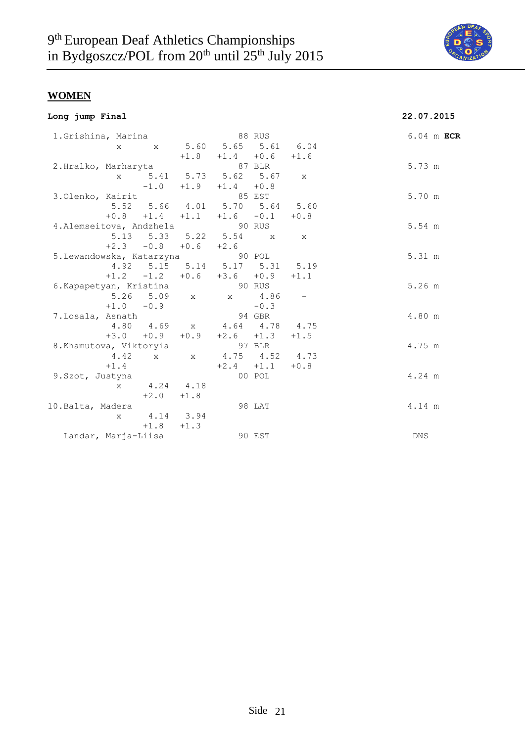

|  |  | Long jump Final |
|--|--|-----------------|
|--|--|-----------------|

# **Long jump Final 22.07.2015**

| 1. Grishina, Marina               |              |                             |        |                                    | 88 RUS      |              | 6.04 m ECR |  |
|-----------------------------------|--------------|-----------------------------|--------|------------------------------------|-------------|--------------|------------|--|
|                                   | X            |                             |        | x 5.60 5.65 5.61 6.04              |             |              |            |  |
|                                   |              |                             |        | $+1.8$ $+1.4$ $+0.6$ $+1.6$        |             |              |            |  |
| 2.Hralko, Marharyta               |              |                             |        | 87 BLR                             |             |              | 5.73 m     |  |
|                                   | $\mathbf{x}$ |                             |        | 5.41 5.73 5.62 5.67                |             | $\mathbf{x}$ |            |  |
|                                   |              |                             |        | $-1.0$ $+1.9$ $+1.4$ $+0.8$        |             |              |            |  |
| 3.Olenko, Kairit                  |              |                             |        | 85 EST                             |             |              | 5.70 m     |  |
|                                   |              |                             |        | 5.52 5.66 4.01 5.70 5.64 5.60      |             |              |            |  |
|                                   |              |                             |        | $+0.8$ $+1.4$ $+1.1$ $+1.6$ $-0.1$ |             | $+0.8$       |            |  |
| 4. Alemseitova, Andzhela (30 RUS) |              |                             |        |                                    |             |              | 5.54 m     |  |
|                                   |              |                             |        | 5.13 5.33 5.22 5.54 x x            |             |              |            |  |
|                                   |              | $+2.3$ $-0.8$ $+0.6$ $+2.6$ |        |                                    |             |              |            |  |
| 5. Lewandowska, Katarzyna 90 POL  |              |                             |        |                                    |             |              | 5.31 m     |  |
|                                   |              |                             |        | 4.92 5.15 5.14 5.17 5.31 5.19      |             |              |            |  |
|                                   |              |                             |        | $+1.2$ $-1.2$ $+0.6$ $+3.6$ $+0.9$ |             | $+1.1$       |            |  |
| 6. Kapapetyan, Kristina           |              |                             |        | 90 RUS                             |             |              | 5.26 m     |  |
|                                   |              |                             |        | 5.26 5.09 x x 4.86 -               |             |              |            |  |
|                                   |              | $+1.0 -0.9$                 |        |                                    | $-0.3$      |              |            |  |
| 7.Losala, Asnath                  |              |                             |        | 94 GBR                             |             |              | 4.80 m     |  |
|                                   |              | 4.80 4.69                   |        | x 4.64 4.78 4.75                   |             |              |            |  |
|                                   |              | $+3.0 + 0.9$                | $+0.9$ | $+2.6 +1.3$                        |             | $+1.5$       |            |  |
| 8.Khamutova, Viktoryia            |              |                             |        | 97 BLR                             |             |              | 4.75 m     |  |
|                                   |              |                             |        | 4.42 x x 4.75 4.52 4.73            |             |              |            |  |
|                                   | $+1.4$       |                             |        |                                    | $+2.4 +1.1$ | $+0.8$       |            |  |
| 9.Szot, Justyna                   |              |                             |        |                                    | 00 POL      |              | 4.24 m     |  |
|                                   | X            | 4.24 4.18                   |        |                                    |             |              |            |  |
|                                   |              | $+2.0$                      | $+1.8$ |                                    |             |              |            |  |
| 10.Balta, Madera                  |              |                             |        |                                    | 98 LAT      |              | 4.14 m     |  |
|                                   | $\mathbf{x}$ | 4.14 3.94                   |        |                                    |             |              |            |  |
|                                   |              | $+1.8$ $+1.3$               |        |                                    |             |              |            |  |
| Landar, Marja-Liisa               |              |                             |        |                                    | 90 EST      |              | DNS        |  |
|                                   |              |                             |        |                                    |             |              |            |  |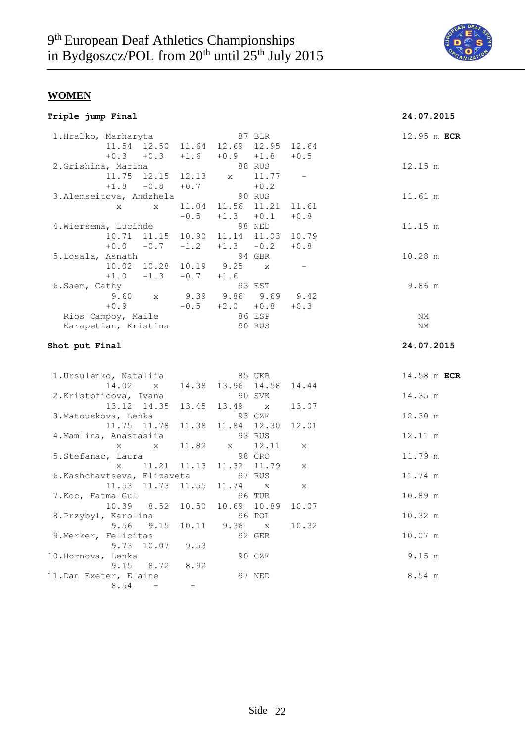

| Triple jump Final |
|-------------------|
|-------------------|

# **Triple jump Final 24.07.2015**

| 1.Hralko, Marharyta         |                                                             |              |             |                                     | 87 BLR       |        |            | 12.95 m ECR |
|-----------------------------|-------------------------------------------------------------|--------------|-------------|-------------------------------------|--------------|--------|------------|-------------|
|                             |                                                             |              |             | 11.54 12.50 11.64 12.69 12.95 12.64 |              |        |            |             |
|                             |                                                             | $+0.3 +0.3$  |             | $+1.6$ $+0.9$ $+1.8$                |              | $+0.5$ |            |             |
| 2. Grishina, Marina         |                                                             |              |             |                                     | 88 RUS       |        | 12.15 m    |             |
|                             | 11.75                                                       | 12.15        | 12.13       | $\mathbf{X}$                        | 11.77        |        |            |             |
|                             | $+1.8$                                                      | $-0.8$       | $+0.7$      |                                     | $+0.2$       |        |            |             |
| 3. Alemseitova, Andzhela    |                                                             |              |             | 90 RUS                              |              |        | 11.61 m    |             |
|                             | $\mathbf{x}$                                                | $\mathbf{x}$ |             | 11.04 11.56 11.21                   |              | 11.61  |            |             |
|                             |                                                             |              | $-0.5$      | $+1.3$                              | $+0.1$       | $+0.8$ |            |             |
| 4. Wiersema, Lucinde        |                                                             |              |             |                                     | 98 NED       |        | 11.15 m    |             |
|                             |                                                             | 10.71 11.15  |             | 10.90 11.14 11.03                   |              | 10.79  |            |             |
|                             | $+0.0$                                                      | $-0.7$       | $-1.2$      | $+1.3 -0.2$                         |              | $+0.8$ |            |             |
| 5.Losala, Asnath            |                                                             |              |             |                                     | 94 GBR       |        | 10.28 m    |             |
|                             |                                                             | 10.02 10.28  |             | 10.19 9.25                          | $\mathbf{x}$ |        |            |             |
|                             |                                                             | $+1.0 -1.3$  | $-0.7 +1.6$ |                                     |              |        |            |             |
| 6.Saem, Cathy               |                                                             |              |             |                                     | 93 EST       |        | 9.86 m     |             |
|                             | 9.60                                                        | $\mathbf{X}$ |             | 9.39 9.86 9.69 9.42                 |              |        |            |             |
|                             | $+0.9$                                                      |              |             | $-0.5$ $+2.0$ $+0.8$                |              | $+0.3$ |            |             |
| Rios Campoy, Maile          |                                                             |              |             | 86 ESP                              |              |        | ΝM         |             |
| Karapetian, Kristina        |                                                             |              |             | 90 RUS                              |              |        | $\rm{NM}$  |             |
|                             |                                                             |              |             |                                     |              |        |            |             |
| Shot put Final              |                                                             |              |             |                                     |              |        | 24.07.2015 |             |
|                             |                                                             |              |             |                                     |              |        |            |             |
| 1. Ursulenko, Nataliia      |                                                             |              |             | 85 UKR                              |              |        |            | 14.58 m ECR |
|                             | 14.02                                                       | $\mathbf X$  |             | 14.38 13.96 14.58                   |              | 14.44  |            |             |
| 2. Kristoficova, Ivana      |                                                             |              |             |                                     | 90 SVK       |        | 14.35 m    |             |
|                             |                                                             | 13.12 14.35  | 13.45       | 13.49 x                             |              | 13.07  |            |             |
| 3. Matouskova, Lenka        |                                                             |              |             |                                     | 93 CZE       |        | 12.30 m    |             |
|                             |                                                             | 11.75 11.78  | 11.38       | 11.84 12.30                         |              | 12.01  |            |             |
| 4. Mamlina, Anastasiia      |                                                             |              |             |                                     | 93 RUS       |        | 12.11 m    |             |
|                             | $\mathbf X$ and $\mathbf X$ and $\mathbf X$ and $\mathbf X$ | $\mathbf{x}$ | 11.82       | $X =$                               | 12.11        | X      |            |             |
| 5. Stefanac, Laura          |                                                             |              |             |                                     | 98 CRO       |        | 11.79 m    |             |
|                             |                                                             | x 11.21      | 11.13       | 11.32 11.79                         |              | X      |            |             |
| 6. Kashchavtseva, Elizaveta |                                                             |              |             |                                     | 97 RUS       |        | 11.74 m    |             |
|                             |                                                             |              |             |                                     |              |        |            |             |
|                             |                                                             |              |             |                                     |              |        |            |             |
| 7. Koc, Fatma Gul           |                                                             | 11.53 11.73  | 11.55       | 11.74 x                             | 96 TUR       | X      | 10.89 m    |             |

8.Przybyl, Karolina 96 POL 10.32 m

9.Merker, Felicitas 692 GER 10.07 m

10.Hornova, Lenka 10.Hornova, 90 CZE 9.15 m

11.Dan Exeter, Elaine 97 NED 8.54 m

10.39 8.52 10.50 10.69 10.89 10.07

9.56 9.15 10.11 9.36 x 10.32

9.73 10.07 9.53

 $8.54 - -$ 

Hornova, புபாக<br>9.15 8.72 8.92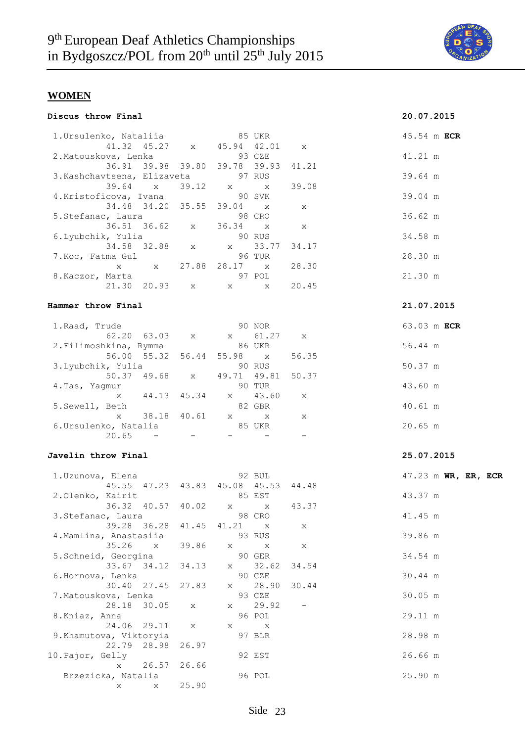

| Discus throw Final |  |  |
|--------------------|--|--|
|--------------------|--|--|

# **Discus throw Final 20.07.2015**

| 1.Ursulenko, Nataliia 65 UKR          |       |                                               |              | 45.54 m ECR         |
|---------------------------------------|-------|-----------------------------------------------|--------------|---------------------|
|                                       |       | 41.32 45.27 x 45.94 42.01 x                   |              |                     |
| 2. Matouskova, Lenka 63 CZE           |       |                                               |              | 41.21 m             |
|                                       |       | 36.91 39.98 39.80 39.78 39.93                 | 41.21        |                     |
| 3. Kashchavtsena, Elizaveta           |       | 97 RUS                                        |              | 39.64 m             |
| 39.64 x                               |       | $39.12 \times x$                              | 39.08        |                     |
| 4.Kristoficova, Ivana                 |       | 90 SVK                                        |              | 39.04 m             |
| 34.48 34.20 35.55 39.04 x             |       |                                               | X            |                     |
| 5.Stefanac, Laura<br>36.51 36.62 x    |       | 98 CRO<br>36.34 x                             | $\mathbf{x}$ | 36.62 m             |
| 6. Lyubchik, Yulia 90 RUS             |       |                                               |              | 34.58 m             |
| 34.58 32.88 x x                       |       | 33.77                                         | 34.17        |                     |
| 7. Koc, Fatma Gul                     |       | 96 TUR                                        |              | 28.30 m             |
|                                       |       | x x 27.88 28.17 x                             | 28.30        |                     |
| 8. Kaczor, Marta                      |       | 97 POL                                        |              | 21.30 m             |
|                                       |       | $\mathbf x$ $\mathbf x$                       | 20.45        |                     |
|                                       |       |                                               |              |                     |
| Hammer throw Final                    |       |                                               |              | 21.07.2015          |
| 1. Raad, Trude                        |       | 90 NOR                                        |              | 63.03 m ECR         |
| 62.20 63.03 x x                       |       |                                               | 61.27 x      |                     |
| 2.Filimoshkina, Rymma                 |       | <b>86 UKR</b>                                 |              | 56.44 m             |
| 56.00 55.32 56.44 55.98 x             |       |                                               | 56.35        |                     |
| 3.Lyubchik, Yulia                     |       | 90 RUS                                        |              | 50.37 m             |
|                                       |       | 50.37 49.68 x 49.71 49.81                     | 50.37        |                     |
| 4.Tas, Yagmur                         |       | 90 TUR                                        |              | 43.60 m             |
| x 44.13 45.34 x                       |       | 43.60                                         | X            |                     |
| 5. Sewell, Beth                       |       | 82 GBR<br>38.18 40.61 x x                     |              | 40.61 m             |
| $\mathbf x$<br>6. Ursulenko, Natalia  |       | 85 UKR                                        | X            | 20.65 m             |
| 20.65<br>and the company of the       |       | $\frac{1}{2}$ and $\frac{1}{2}$               | $-$          |                     |
|                                       |       |                                               |              |                     |
| Javelin throw Final                   |       |                                               |              | 25.07.2015          |
|                                       |       |                                               |              |                     |
| 1.Uzunova, Elena                      |       | 92 BUL<br>45.55 47.23 43.83 45.08 45.53 44.48 |              | 47.23 m WR, ER, ECR |
| 2.Olenko, Kairit                      |       | 85 EST                                        |              | 43.37 m             |
| 36.32 40.57 40.02 x x                 |       |                                               | 43.37        |                     |
| 3. Stefanac, Laura                    |       | 98 CRO                                        |              | 41.45 m             |
| 39.28 36.28 41.45 41.21 x             |       |                                               | Χ            |                     |
| 4. Mamlina, Anastasiia                |       | 93 RUS                                        |              | 39.86 m             |
| 35.26<br>$\mathbf{X}$                 | 39.86 | X<br>Χ                                        | Χ            |                     |
| 5. Schneid, Georgina                  |       | 90 GER                                        |              | 34.54 m             |
| 33.67 34.12                           | 34.13 | 32.62<br>X                                    | 34.54        |                     |
| 6.Hornova, Lenka                      |       | 90 CZE                                        |              | 30.44 m             |
| 30.40<br>27.45                        | 27.83 | 28.90<br>$\mathbf x$                          | 30.44        | 30.05 m             |
| 7.Matouskova, Lenka<br>28.18<br>30.05 |       | 93 CZE<br>29.92<br>X.                         |              |                     |
| 8.Kniaz, Anna                         | X     | 96 POL                                        |              | 29.11 m             |
| 24.06<br>29.11                        | X     | X<br>X                                        |              |                     |
| 9. Khamutova, Viktoryia               |       | 97 BLR                                        |              | 28.98 m             |
| 22.79<br>28.98                        | 26.97 |                                               |              |                     |
| 10. Pajor, Gelly                      |       | 92 EST                                        |              | 26.66 m             |
| 26.57<br>$\mathbf{x}$                 | 26.66 |                                               |              |                     |
| Brzezicka, Natalia                    |       | 96 POL                                        |              | 25.90 m             |
| X<br>X                                | 25.90 |                                               |              |                     |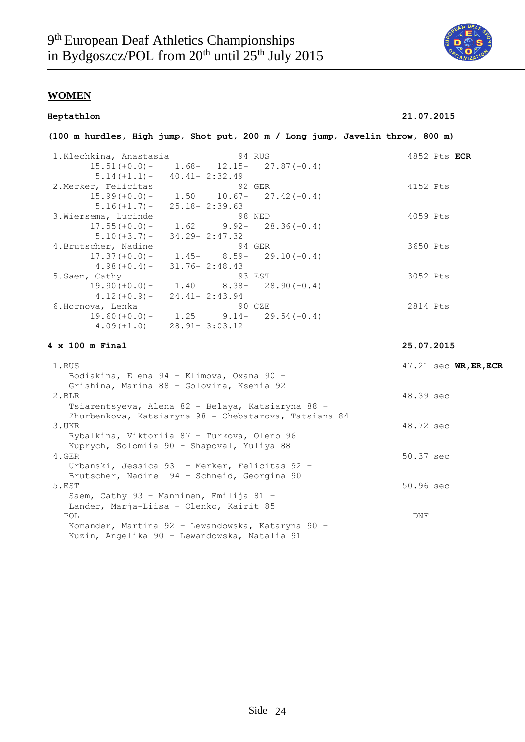

| Heptathlon             |                                                                               | 21.07.2015              |
|------------------------|-------------------------------------------------------------------------------|-------------------------|
|                        | (100 m hurdles, High jump, Shot put, 200 m / Long jump, Javelin throw, 800 m) |                         |
| 1.Klechkina, Anastasia | 94 RUS                                                                        | 4852 Pts ECR            |
| $15.51 (+0.0) -$       | $1.68 - 12.15 - 27.87(-0.4)$                                                  |                         |
| $5.14(+1.1) -$         | $40.41 - 2:32.49$                                                             |                         |
| 2. Merker, Felicitas   | 92 GER                                                                        | 4152 Pts                |
| $15.99 (+0.0) -$       | $1.50$ $10.67 - 27.42(-0.4)$                                                  |                         |
| $5.16(+1.7)$ –         | $25.18 - 2:39.63$                                                             |                         |
| 3. Wiersema, Lucinde   | 98 NED                                                                        | 4059 Pts                |
| $17.55 (+0.0) -$       | 1.62<br>$28.36(-0.4)$<br>$9.92 -$                                             |                         |
| $5.10 (+3.7) -$        | $34.29 - 2:47.32$                                                             |                         |
| 4. Brutscher, Nadine   | 94 GER                                                                        | 3650 Pts                |
| $17.37 (+0.0) -$       | $1.45 - 8.59 - 29.10(-0.4)$                                                   |                         |
| $4.98 (+0.4) -$        | $31.76 - 2:48.43$                                                             |                         |
| 5. Saem, Cathy         | 93 EST                                                                        | 3052 Pts                |
| $19.90 (+0.0) -$       | $1.40$ $8.38 - 28.90(-0.4)$                                                   |                         |
| $4.12 (+0.9) -$        | $24.41 - 2:43.94$                                                             |                         |
| 6.Hornova, Lenka       | 90 CZE                                                                        | 2814 Pts                |
|                        | $19.60 (+0.0) - 1.25$ $9.14 - 29.54 (-0.4)$                                   |                         |
| $4.09(+1.0)$           | $28.91 - 3:03.12$                                                             |                         |
| $4 \times 100$ m Final |                                                                               | 25.07.2015              |
| 1.RUS                  |                                                                               | $47.21$ sec WR, ER, ECR |
|                        | Bodiakina, Elena 94 - Klimova, Oxana 90 -                                     |                         |
|                        | Grishina, Marina 88 - Golovina, Ksenia 92                                     |                         |
| 2.BLR                  |                                                                               | 48.39 sec               |
|                        | Tsiarentsyeva, Alena 82 - Belaya, Katsiaryna 88 -                             |                         |
|                        | Zhurbenkova, Katsiaryna 98 - Chebatarova, Tatsiana 84                         |                         |
| 3.UKR                  |                                                                               | 48.72 sec               |
|                        | Rybalkina, Viktoriia 87 - Turkova, Oleno 96                                   |                         |
|                        | Kuprych, Solomiia 90 - Shapoval, Yuliya 88                                    |                         |
| $4.$ GER               |                                                                               | 50.37 sec               |
|                        | Urbanski, Jessica 93 - Merker, Felicitas 92 -                                 |                         |
|                        | Brutscher, Nadine 94 - Schneid, Georgina 90                                   |                         |
| 5.EST                  |                                                                               | 50.96 sec               |
|                        | Saem, Cathy 93 - Manninen, Emilija 81 -                                       |                         |
|                        | Lander, Marja-Liisa - Olenko, Kairit 85                                       |                         |
| POL                    |                                                                               | DNF                     |
|                        | Komander, Martina 92 - Lewandowska, Kataryna 90 -                             |                         |
|                        | Kuzin, Angelika 90 - Lewandowska, Natalia 91                                  |                         |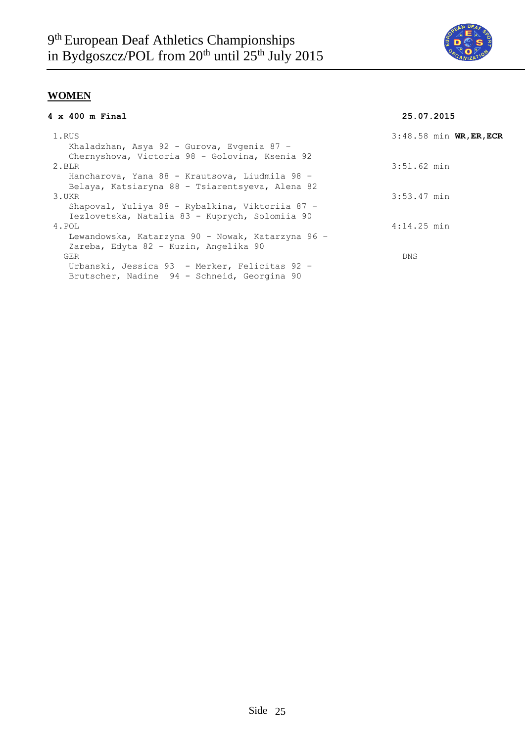

| $4 \times 400$ m Final                            | 25.07.2015                |
|---------------------------------------------------|---------------------------|
| 1.RUS                                             | $3:48.58$ min WR, ER, ECR |
| Khaladzhan, Asya 92 - Gurova, Evgenia 87 -        |                           |
| Chernyshova, Victoria 98 - Golovina, Ksenia 92    |                           |
| 2.BLR                                             | $3:51.62$ min             |
| Hancharova, Yana 88 - Krautsova, Liudmila 98 -    |                           |
| Belaya, Katsiaryna 88 - Tsiarentsyeva, Alena 82   |                           |
| 3.UKR                                             | 3:53.47 min               |
| Shapoval, Yuliya 88 - Rybalkina, Viktoriia 87 -   |                           |
| Iezlovetska, Natalia 83 - Kuprych, Solomiia 90    |                           |
| 4.POL                                             | $4:14.25$ min             |
| Lewandowska, Katarzyna 90 - Nowak, Katarzyna 96 - |                           |
| Zareba, Edyta 82 - Kuzin, Angelika 90             |                           |
| <b>GER</b>                                        | <b>DNS</b>                |
| Urbanski, Jessica 93 - Merker, Felicitas 92 -     |                           |
| Brutscher, Nadine 94 - Schneid, Georgina 90       |                           |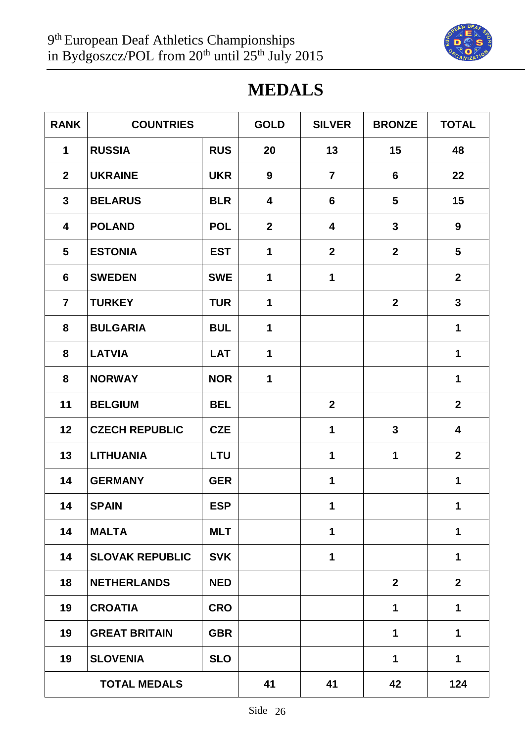

# **MEDALS**

| <b>RANK</b>             | <b>COUNTRIES</b>       |            | <b>GOLD</b>             | <b>SILVER</b>           | <b>BRONZE</b>    | <b>TOTAL</b>    |
|-------------------------|------------------------|------------|-------------------------|-------------------------|------------------|-----------------|
| $\mathbf 1$             | <b>RUSSIA</b>          | <b>RUS</b> | 20                      | 13                      | 15               | 48              |
| $\mathbf{2}$            | <b>UKRAINE</b>         | <b>UKR</b> | 9                       | $\overline{7}$          | $6\phantom{1}$   | 22              |
| $\mathbf{3}$            | <b>BELARUS</b>         | <b>BLR</b> | $\overline{\mathbf{4}}$ | 6                       | $5\phantom{.}$   | 15              |
| $\overline{\mathbf{4}}$ | <b>POLAND</b>          | <b>POL</b> | $\overline{2}$          | $\overline{\mathbf{4}}$ | $\mathbf{3}$     | 9               |
| 5                       | <b>ESTONIA</b>         | <b>EST</b> | $\mathbf 1$             | $\mathbf{2}$            | $\mathbf{2}$     | $5\phantom{.0}$ |
| 6                       | <b>SWEDEN</b>          | <b>SWE</b> | 1                       | 1                       |                  | $\mathbf{2}$    |
| $\overline{7}$          | <b>TURKEY</b>          | <b>TUR</b> | 1                       |                         | $\boldsymbol{2}$ | $\mathbf{3}$    |
| 8                       | <b>BULGARIA</b>        | <b>BUL</b> | $\mathbf{1}$            |                         |                  | 1               |
| 8                       | <b>LATVIA</b>          | <b>LAT</b> | $\mathbf 1$             |                         |                  | 1               |
| 8                       | <b>NORWAY</b>          | <b>NOR</b> | 1                       |                         |                  | 1               |
| 11                      | <b>BELGIUM</b>         | <b>BEL</b> |                         | $\overline{2}$          |                  | $\overline{2}$  |
| 12                      | <b>CZECH REPUBLIC</b>  | <b>CZE</b> |                         | 1                       | $\mathbf{3}$     | 4               |
| 13                      | <b>LITHUANIA</b>       | <b>LTU</b> |                         | 1                       | 1                | $\mathbf{2}$    |
| 14                      | <b>GERMANY</b>         | <b>GER</b> |                         | 1                       |                  | $\mathbf 1$     |
| 14                      | <b>SPAIN</b>           | <b>ESP</b> |                         | $\mathbf 1$             |                  | $\mathbf 1$     |
| 14                      | <b>MALTA</b>           | <b>MLT</b> |                         | 1                       |                  | $\mathbf{1}$    |
| 14                      | <b>SLOVAK REPUBLIC</b> | <b>SVK</b> |                         | 1                       |                  | $\mathbf 1$     |
| 18                      | <b>NETHERLANDS</b>     | <b>NED</b> |                         |                         | $\mathbf{2}$     | $\mathbf{2}$    |
| 19                      | <b>CROATIA</b>         | <b>CRO</b> |                         |                         | 1                | $\mathbf 1$     |
| 19                      | <b>GREAT BRITAIN</b>   | <b>GBR</b> |                         |                         | 1                | 1               |
| 19                      | <b>SLOVENIA</b>        | <b>SLO</b> |                         |                         | 1                | $\mathbf 1$     |
|                         | <b>TOTAL MEDALS</b>    |            | 41                      | 41                      | 42               | 124             |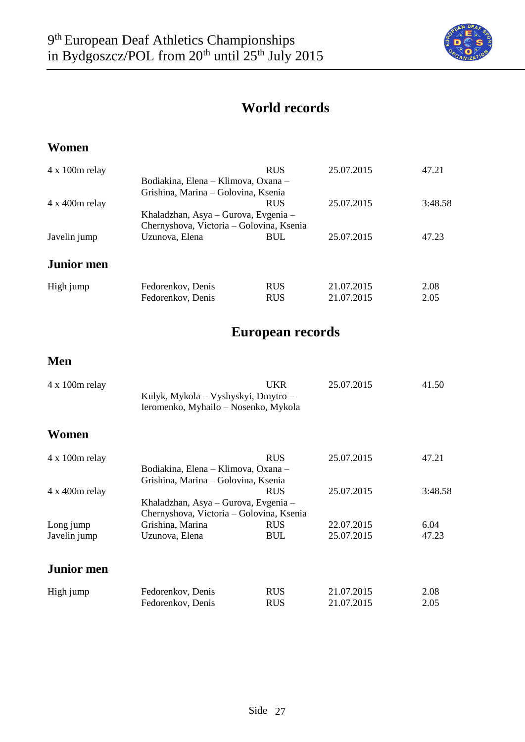

# **World records**

## **Women**

| $4 \times 100$ m relay |                                          | <b>RUS</b> | 25.07.2015 | 47.21   |  |
|------------------------|------------------------------------------|------------|------------|---------|--|
|                        | Bodiakina, Elena – Klimova, Oxana –      |            |            |         |  |
|                        | Grishina, Marina – Golovina, Ksenia      |            |            |         |  |
| $4 \times 400$ m relay |                                          | <b>RUS</b> | 25.07.2015 | 3:48.58 |  |
|                        | Khaladzhan, Asya – Gurova, Evgenia –     |            |            |         |  |
|                        | Chernyshova, Victoria – Golovina, Ksenia |            |            |         |  |
| Javelin jump           | Uzunova, Elena                           | <b>BUL</b> | 25.07.2015 | 47.23   |  |
| <b>Junior men</b>      |                                          |            |            |         |  |
| High jump              | Fedorenkov, Denis                        | <b>RUS</b> | 21.07.2015 | 2.08    |  |
|                        | Fedorenkov, Denis                        | <b>RUS</b> | 21.07.2015 | 2.05    |  |

# **European records**

## **Men**

| $4 \times 100$ m relay | Kulyk, Mykola – Vyshyskyi, Dmytro –<br>Ieromenko, Myhailo – Nosenko, Mykola | UKR                                 | 25.07.2015 | 41.50   |  |  |  |
|------------------------|-----------------------------------------------------------------------------|-------------------------------------|------------|---------|--|--|--|
| Women                  |                                                                             |                                     |            |         |  |  |  |
| $4 \times 100$ m relay |                                                                             | <b>RUS</b>                          | 25.07.2015 | 47.21   |  |  |  |
|                        | Bodiakina, Elena – Klimova, Oxana –                                         |                                     |            |         |  |  |  |
|                        |                                                                             | Grishina, Marina – Golovina, Ksenia |            |         |  |  |  |
| $4 \times 400$ m relay |                                                                             | <b>RUS</b>                          | 25.07.2015 | 3:48.58 |  |  |  |
|                        | Khaladzhan, Asya – Gurova, Evgenia –                                        |                                     |            |         |  |  |  |
|                        | Chernyshova, Victoria – Golovina, Ksenia                                    |                                     |            |         |  |  |  |
| Long jump              | Grishina, Marina                                                            | <b>RUS</b>                          | 22.07.2015 | 6.04    |  |  |  |
| Javelin jump           | Uzunova, Elena                                                              | <b>BUL</b>                          | 25.07.2015 | 47.23   |  |  |  |
| <b>Junior</b> men      |                                                                             |                                     |            |         |  |  |  |
| High jump              | Fedorenkov, Denis                                                           | <b>RUS</b>                          | 21.07.2015 | 2.08    |  |  |  |
|                        | Fedorenkov, Denis                                                           | <b>RUS</b>                          | 21.07.2015 | 2.05    |  |  |  |